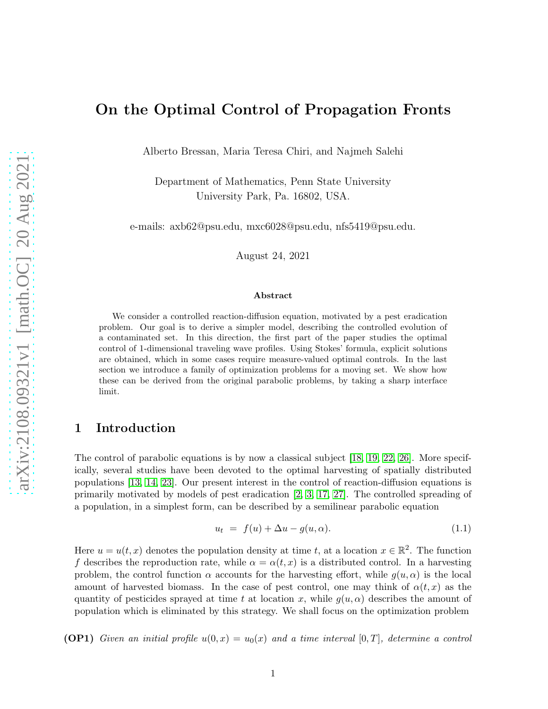# On the Optimal Control of Propagation Fronts

Alberto Bressan, Maria Teresa Chiri, and Najmeh Salehi

Department of Mathematics, Penn State University University Park, Pa. 16802, USA.

e-mails: axb62@psu.edu, mxc6028@psu.edu, nfs5419@psu.edu.

August 24, 2021

#### Abstract

We consider a controlled reaction-diffusion equation, motivated by a pest eradication problem. Our goal is to derive a simpler model, describing the controlled evolution of a contaminated set. In this direction, the first part of the paper studies the optimal control of 1-dimensional traveling wave profiles. Using Stokes' formula, explicit solutions are obtained, which in some cases require measure-valued optimal controls. In the last section we introduce a family of optimization problems for a moving set. We show how these can be derived from the original parabolic problems, by taking a sharp interface limit.

### <span id="page-0-1"></span>1 Introduction

The control of parabolic equations is by now a classical subject [\[18,](#page-28-0) [19,](#page-28-1) [22,](#page-29-0) [26\]](#page-29-1). More specifically, several studies have been devoted to the optimal harvesting of spatially distributed populations [\[13,](#page-28-2) [14,](#page-28-3) [23\]](#page-29-2). Our present interest in the control of reaction-diffusion equations is primarily motivated by models of pest eradication [\[2,](#page-27-0) [3,](#page-28-4) [17,](#page-28-5) [27\]](#page-29-3). The controlled spreading of a population, in a simplest form, can be described by a semilinear parabolic equation

<span id="page-0-0"></span>
$$
u_t = f(u) + \Delta u - g(u, \alpha). \tag{1.1}
$$

Here  $u = u(t, x)$  denotes the population density at time t, at a location  $x \in \mathbb{R}^2$ . The function f describes the reproduction rate, while  $\alpha = \alpha(t, x)$  is a distributed control. In a harvesting problem, the control function  $\alpha$  accounts for the harvesting effort, while  $g(u, \alpha)$  is the local amount of harvested biomass. In the case of pest control, one may think of  $\alpha(t, x)$  as the quantity of pesticides sprayed at time t at location x, while  $g(u, \alpha)$  describes the amount of population which is eliminated by this strategy. We shall focus on the optimization problem

**(OP1)** Given an initial profile  $u(0, x) = u_0(x)$  and a time interval  $[0, T]$ , determine a control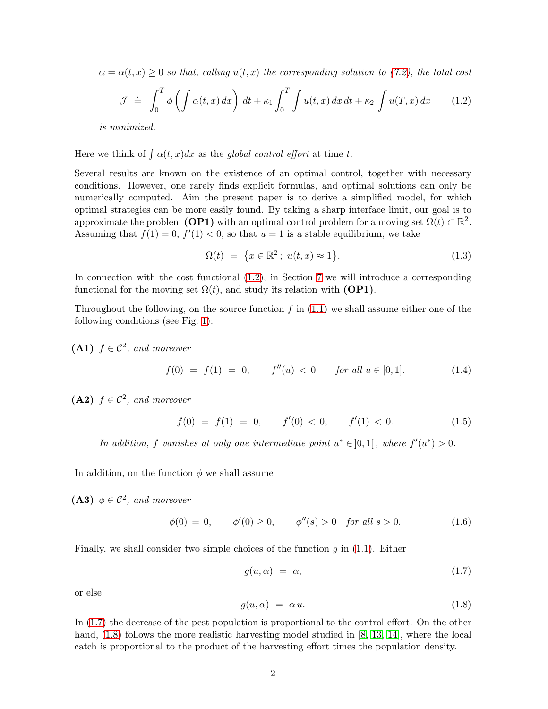$\alpha = \alpha(t, x) \geq 0$  so that, calling  $u(t, x)$  the corresponding solution to [\(7.2\)](#page-20-0), the total cost

<span id="page-1-0"></span>
$$
\mathcal{J} \doteq \int_0^T \phi \left( \int \alpha(t, x) \, dx \right) \, dt + \kappa_1 \int_0^T \int u(t, x) \, dx \, dt + \kappa_2 \int u(T, x) \, dx \tag{1.2}
$$

is minimized.

Here we think of  $\int \alpha(t, x) dx$  as the global control effort at time t.

Several results are known on the existence of an optimal control, together with necessary conditions. However, one rarely finds explicit formulas, and optimal solutions can only be numerically computed. Aim the present paper is to derive a simplified model, for which optimal strategies can be more easily found. By taking a sharp interface limit, our goal is to approximate the problem (**OP1**) with an optimal control problem for a moving set  $\Omega(t) \subset \mathbb{R}^2$ . Assuming that  $f(1) = 0, f'(1) < 0$ , so that  $u = 1$  is a stable equilibrium, we take

<span id="page-1-3"></span>
$$
\Omega(t) = \{x \in \mathbb{R}^2 \, ; \, u(t, x) \approx 1\}.
$$
\n
$$
(1.3)
$$

In connection with the cost functional [\(1.2\)](#page-1-0), in Section [7](#page-20-1) we will introduce a corresponding functional for the moving set  $\Omega(t)$ , and study its relation with (OP1).

Throughout the following, on the source function  $f$  in  $(1.1)$  we shall assume either one of the following conditions (see Fig. [1\)](#page-2-0):

(A1)  $f \in C^2$ , and moreover

<span id="page-1-4"></span>
$$
f(0) = f(1) = 0, \qquad f''(u) < 0 \qquad \text{for all } u \in [0, 1]. \tag{1.4}
$$

(A2)  $f \in C^2$ , and moreover

<span id="page-1-5"></span>
$$
f(0) = f(1) = 0, \qquad f'(0) < 0, \qquad f'(1) < 0. \tag{1.5}
$$

In addition, f vanishes at only one intermediate point  $u^* \in ]0,1[$ , where  $f'(u^*) > 0$ .

In addition, on the function  $\phi$  we shall assume

(A3)  $\phi \in C^2$ , and moreover

$$
\phi(0) = 0, \qquad \phi'(0) \ge 0, \qquad \phi''(s) > 0 \quad \text{for all } s > 0. \tag{1.6}
$$

Finally, we shall consider two simple choices of the function  $g$  in  $(1.1)$ . Either

<span id="page-1-1"></span>
$$
g(u,\alpha) = \alpha,\tag{1.7}
$$

or else

<span id="page-1-2"></span>
$$
g(u,\alpha) = \alpha u. \tag{1.8}
$$

In [\(1.7\)](#page-1-1) the decrease of the pest population is proportional to the control effort. On the other hand,  $(1.8)$  follows the more realistic harvesting model studied in [\[8,](#page-28-6) [13,](#page-28-2) [14\]](#page-28-3), where the local catch is proportional to the product of the harvesting effort times the population density.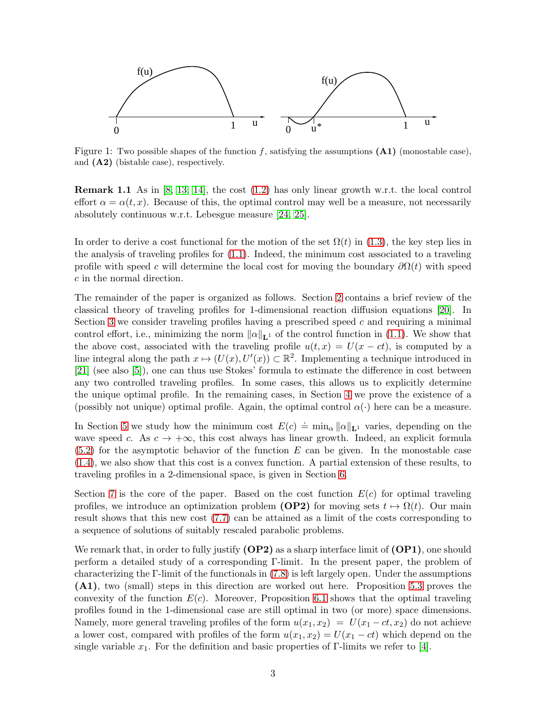

<span id="page-2-0"></span>Figure 1: Two possible shapes of the function f, satisfying the assumptions  $(A1)$  (monostable case), and (A2) (bistable case), respectively.

**Remark 1.1** As in [\[8,](#page-28-6) [13,](#page-28-2) [14\]](#page-28-3), the cost  $(1.2)$  has only linear growth w.r.t. the local control effort  $\alpha = \alpha(t, x)$ . Because of this, the optimal control may well be a measure, not necessarily absolutely continuous w.r.t. Lebesgue measure [\[24,](#page-29-4) [25\]](#page-29-5).

In order to derive a cost functional for the motion of the set  $\Omega(t)$  in [\(1.3\)](#page-1-3), the key step lies in the analysis of traveling profiles for [\(1.1\)](#page-0-0). Indeed, the minimum cost associated to a traveling profile with speed c will determine the local cost for moving the boundary  $\partial\Omega(t)$  with speed c in the normal direction.

The remainder of the paper is organized as follows. Section [2](#page-3-0) contains a brief review of the classical theory of traveling profiles for 1-dimensional reaction diffusion equations [\[20\]](#page-28-7). In Section [3](#page-4-0) we consider traveling profiles having a prescribed speed  $c$  and requiring a minimal control effort, i.e., minimizing the norm  $\|\alpha\|_{\mathbf{L}^1}$  of the control function in [\(1.1\)](#page-0-0). We show that the above cost, associated with the traveling profile  $u(t, x) = U(x - ct)$ , is computed by a line integral along the path  $x \mapsto (U(x), U'(x)) \subset \mathbb{R}^2$ . Implementing a technique introduced in [\[21\]](#page-29-6) (see also [\[5\]](#page-28-8)), one can thus use Stokes' formula to estimate the difference in cost between any two controlled traveling profiles. In some cases, this allows us to explicitly determine the unique optimal profile. In the remaining cases, in Section [4](#page-11-0) we prove the existence of a (possibly not unique) optimal profile. Again, the optimal control  $\alpha(\cdot)$  here can be a measure.

In Section [5](#page-14-0) we study how the minimum cost  $E(c) \doteq \min_{\alpha} ||\alpha||_{\mathbf{L}^1}$  varies, depending on the wave speed c. As  $c \to +\infty$ , this cost always has linear growth. Indeed, an explicit formula  $(5.2)$  for the asymptotic behavior of the function E can be given. In the monostable case [\(1.4\)](#page-1-4), we also show that this cost is a convex function. A partial extension of these results, to traveling profiles in a 2-dimensional space, is given in Section [6.](#page-18-0)

Section [7](#page-20-1) is the core of the paper. Based on the cost function  $E(c)$  for optimal traveling profiles, we introduce an optimization problem (OP2) for moving sets  $t \mapsto \Omega(t)$ . Our main result shows that this new cost [\(7.7\)](#page-21-0) can be attained as a limit of the costs corresponding to a sequence of solutions of suitably rescaled parabolic problems.

We remark that, in order to fully justify  $(DP2)$  as a sharp interface limit of  $(DP1)$ , one should perform a detailed study of a corresponding Γ-limit. In the present paper, the problem of characterizing the Γ-limit of the functionals in [\(7.8\)](#page-21-1) is left largely open. Under the assumptions (A1), two (small) steps in this direction are worked out here. Proposition [5.3](#page-17-0) proves the convexity of the function  $E(c)$ . Moreover, Proposition [6.1](#page-18-1) shows that the optimal traveling profiles found in the 1-dimensional case are still optimal in two (or more) space dimensions. Namely, more general traveling profiles of the form  $u(x_1, x_2) = U(x_1 - ct, x_2)$  do not achieve a lower cost, compared with profiles of the form  $u(x_1, x_2) = U(x_1 - ct)$  which depend on the single variable  $x_1$ . For the definition and basic properties of Γ-limits we refer to [\[4\]](#page-28-9).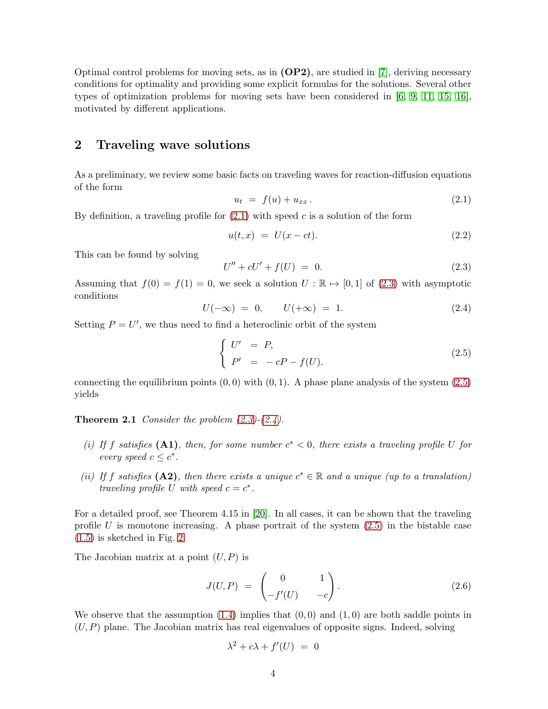Optimal control problems for moving sets, as in  $(\text{OP2})$ , are studied in [\[7\]](#page-28-10), deriving necessary conditions for optimality and providing some explicit formulas for the solutions. Several other types of optimization problems for moving sets have been considered in [\[6,](#page-28-11) [9,](#page-28-12) [11,](#page-28-13) [15,](#page-28-14) [16\]](#page-28-15), motivated by different applications.

### <span id="page-3-0"></span>2 Traveling wave solutions

As a preliminary, we review some basic facts on traveling waves for reaction-diffusion equations of the form

<span id="page-3-1"></span>
$$
u_t = f(u) + u_{xx}.
$$
 (2.1)

By definition, a traveling profile for  $(2.1)$  with speed c is a solution of the form

<span id="page-3-6"></span>
$$
u(t,x) = U(x - ct).
$$
 (2.2)

This can be found by solving

<span id="page-3-2"></span>
$$
U'' + cU' + f(U) = 0.
$$
\n(2.3)

Assuming that  $f(0) = f(1) = 0$ , we seek a solution  $U : \mathbb{R} \to [0, 1]$  of [\(2.3\)](#page-3-2) with asymptotic conditions

<span id="page-3-4"></span>
$$
U(-\infty) = 0, \qquad U(+\infty) = 1. \tag{2.4}
$$

Setting  $P = U'$ , we thus need to find a heteroclinic orbit of the system

<span id="page-3-3"></span>
$$
\begin{cases}\nU' &= P, \\
P' &= -cP - f(U).\n\end{cases}
$$
\n(2.5)

<span id="page-3-5"></span>connecting the equilibrium points  $(0, 0)$  with  $(0, 1)$ . A phase plane analysis of the system  $(2.5)$ yields

**Theorem 2.1** Consider the problem  $(2.3)-(2.4)$  $(2.3)-(2.4)$ .

- (i) If f satisfies (A1), then, for some number  $c^* < 0$ , there exists a traveling profile U for every speed  $c \leq c^*$ .
- (ii) If f satisfies (A2), then there exists a unique  $c^* \in \mathbb{R}$  and a unique (up to a translation) traveling profile U with speed  $c = c^*$ .

For a detailed proof, see Theorem 4.15 in [\[20\]](#page-28-7). In all cases, it can be shown that the traveling profile  $U$  is monotone increasing. A phase portrait of the system  $(2.5)$  in the bistable case [\(1.5\)](#page-1-5) is sketched in Fig. [2.](#page-4-1)

The Jacobian matrix at a point  $(U, P)$  is

<span id="page-3-7"></span>
$$
J(U, P) = \begin{pmatrix} 0 & 1 \\ -f'(U) & -c \end{pmatrix}.
$$
 (2.6)

We observe that the assumption  $(1.4)$  implies that  $(0,0)$  and  $(1,0)$  are both saddle points in  $(U, P)$  plane. The Jacobian matrix has real eigenvalues of opposite signs. Indeed, solving

$$
\lambda^2 + c\lambda + f'(U) = 0
$$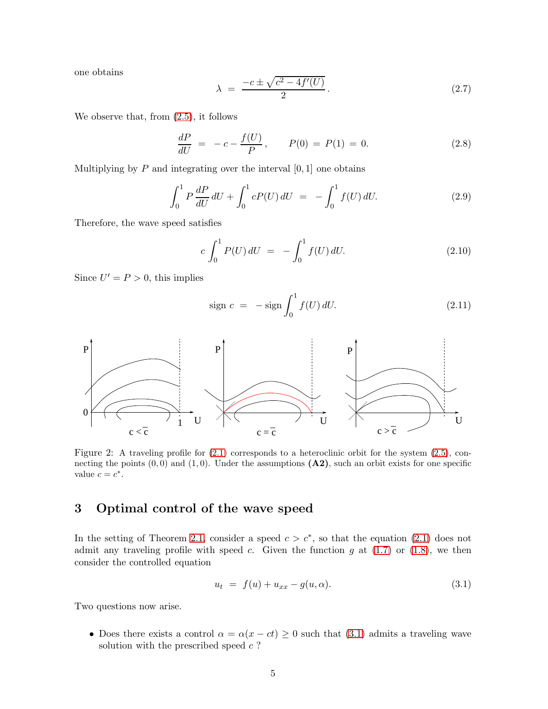one obtains

<span id="page-4-3"></span>
$$
\lambda = \frac{-c \pm \sqrt{c^2 - 4f'(U)}}{2}.
$$
\n(2.7)

We observe that, from [\(2.5\)](#page-3-3), it follows

$$
\frac{dP}{dU} = -c - \frac{f(U)}{P}, \qquad P(0) = P(1) = 0.
$$
\n(2.8)

Multiplying by  $P$  and integrating over the interval  $[0, 1]$  one obtains

$$
\int_0^1 P \frac{dP}{dU} dU + \int_0^1 cP(U) dU = -\int_0^1 f(U) dU.
$$
 (2.9)

Therefore, the wave speed satisfies

$$
c \int_0^1 P(U) dU = - \int_0^1 f(U) dU.
$$
 (2.10)

Since  $U' = P > 0$ , this implies

$$
\text{sign } c = -\text{sign} \int_0^1 f(U) \, dU. \tag{2.11}
$$



<span id="page-4-1"></span>Figure 2: A traveling profile for  $(2.1)$  corresponds to a heteroclinic orbit for the system  $(2.5)$ , connecting the points  $(0, 0)$  and  $(1, 0)$ . Under the assumptions  $(A2)$ , such an orbit exists for one specific value  $c = c^*$ .

# <span id="page-4-0"></span>3 Optimal control of the wave speed

In the setting of Theorem [2.1,](#page-3-5) consider a speed  $c > c^*$ , so that the equation [\(2.1\)](#page-3-1) does not admit any traveling profile with speed c. Given the function q at  $(1.7)$  or  $(1.8)$ , we then consider the controlled equation

<span id="page-4-2"></span>
$$
u_t = f(u) + u_{xx} - g(u, \alpha).
$$
 (3.1)

Two questions now arise.

• Does there exists a control  $\alpha = \alpha(x - ct) \geq 0$  such that [\(3.1\)](#page-4-2) admits a traveling wave solution with the prescribed speed  $c$ ?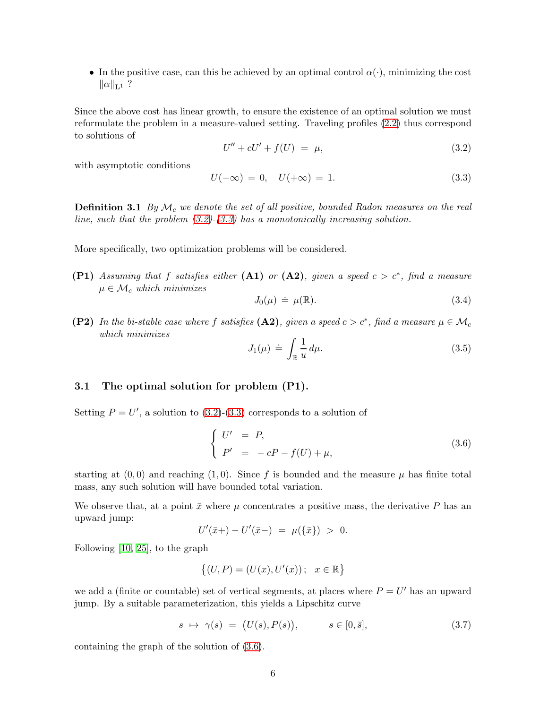• In the positive case, can this be achieved by an optimal control  $\alpha(\cdot)$ , minimizing the cost  $\|\alpha\|_{\mathbf{L}^1}$  ?

Since the above cost has linear growth, to ensure the existence of an optimal solution we must reformulate the problem in a measure-valued setting. Traveling profiles [\(2.2\)](#page-3-6) thus correspond to solutions of

<span id="page-5-0"></span>
$$
U'' + cU' + f(U) = \mu,\t\t(3.2)
$$

with asymptotic conditions

<span id="page-5-1"></span>
$$
U(-\infty) = 0, \quad U(+\infty) = 1. \tag{3.3}
$$

**Definition 3.1** By  $\mathcal{M}_c$  we denote the set of all positive, bounded Radon measures on the real line, such that the problem  $(3.2)-(3.3)$  $(3.2)-(3.3)$  has a monotonically increasing solution.

More specifically, two optimization problems will be considered.

(P1) Assuming that f satisfies either (A1) or (A2), given a speed  $c > c^*$ , find a measure  $\mu \in \mathcal{M}_c$  which minimizes

<span id="page-5-3"></span>
$$
J_0(\mu) \doteq \mu(\mathbb{R}).\tag{3.4}
$$

**(P2)** In the bi-stable case where f satisfies  $(A2)$ , given a speed  $c > c^*$ , find a measure  $\mu \in M_c$ which minimizes

<span id="page-5-4"></span>
$$
J_1(\mu) \doteq \int_{\mathbb{R}} \frac{1}{u} \, d\mu. \tag{3.5}
$$

### 3.1 The optimal solution for problem (P1).

Setting  $P = U'$ , a solution to  $(3.2)-(3.3)$  $(3.2)-(3.3)$  corresponds to a solution of

<span id="page-5-2"></span>
$$
\begin{cases}\nU' &= P, \\
P' &= -cP - f(U) + \mu,\n\end{cases}
$$
\n(3.6)

starting at  $(0,0)$  and reaching  $(1,0)$ . Since f is bounded and the measure  $\mu$  has finite total mass, any such solution will have bounded total variation.

We observe that, at a point  $\bar{x}$  where  $\mu$  concentrates a positive mass, the derivative P has an upward jump:

$$
U'(\bar{x}+) - U'(\bar{x}-) = \mu(\{\bar{x}\}) > 0.
$$

Following [\[10,](#page-28-16) [25\]](#page-29-5), to the graph

$$
\big\{(U,P)=(U(x),U'(x))\,;\ \ x\in\mathbb{R}\big\}
$$

we add a (finite or countable) set of vertical segments, at places where  $P = U'$  has an upward jump. By a suitable parameterization, this yields a Lipschitz curve

$$
s \mapsto \gamma(s) = (U(s), P(s)), \qquad s \in [0, \bar{s}], \tag{3.7}
$$

containing the graph of the solution of [\(3.6\)](#page-5-2).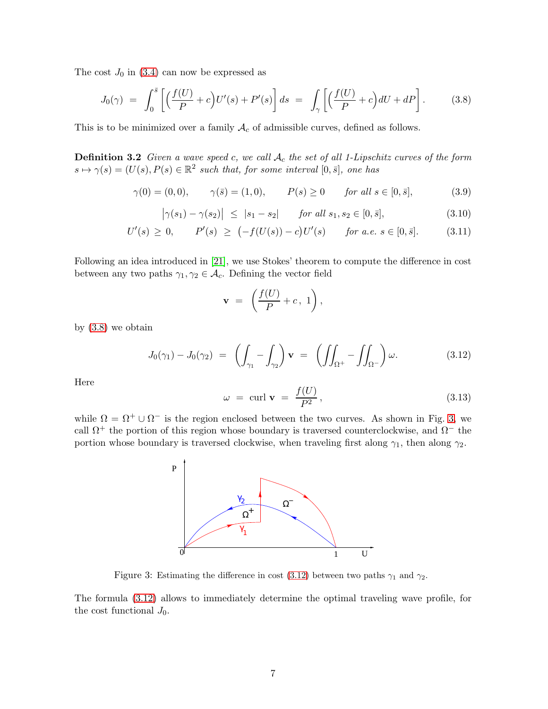The cost  $J_0$  in [\(3.4\)](#page-5-3) can now be expressed as

<span id="page-6-0"></span>
$$
J_0(\gamma) = \int_0^{\overline{s}} \left[ \left( \frac{f(U)}{P} + c \right) U'(s) + P'(s) \right] ds = \int_{\gamma} \left[ \left( \frac{f(U)}{P} + c \right) dU + dP \right]. \tag{3.8}
$$

This is to be minimized over a family  $A_c$  of admissible curves, defined as follows.

**Definition 3.2** Given a wave speed c, we call  $A_c$  the set of all 1-Lipschitz curves of the form  $s \mapsto \gamma(s) = (U(s), P(s) \in \mathbb{R}^2$  such that, for some interval  $[0, \bar{s}],$  one has

<span id="page-6-3"></span>
$$
\gamma(0) = (0,0), \qquad \gamma(\bar{s}) = (1,0), \qquad P(s) \ge 0 \qquad \text{for all } s \in [0,\bar{s}],
$$
\n(3.9)

<span id="page-6-4"></span>
$$
\left|\gamma(s_1) - \gamma(s_2)\right| \leq |s_1 - s_2| \quad \text{for all } s_1, s_2 \in [0, \bar{s}], \tag{3.10}
$$

<span id="page-6-5"></span>
$$
U'(s) \ge 0, \qquad P'(s) \ge (-f(U(s)) - c)U'(s) \qquad \text{for a.e. } s \in [0, \bar{s}]. \tag{3.11}
$$

Following an idea introduced in [\[21\]](#page-29-6), we use Stokes' theorem to compute the difference in cost between any two paths  $\gamma_1, \gamma_2 \in \mathcal{A}_c$ . Defining the vector field

$$
\mathbf{v} ~=~ \left(\frac{f(U)}{P}+c{\,},\;1\right),
$$

by [\(3.8\)](#page-6-0) we obtain

<span id="page-6-2"></span>
$$
J_0(\gamma_1) - J_0(\gamma_2) = \left( \int_{\gamma_1} - \int_{\gamma_2} \right) \mathbf{v} = \left( \iint_{\Omega^+} - \iint_{\Omega^-} \right) \omega.
$$
 (3.12)

Here

$$
\omega = \text{curl } \mathbf{v} = \frac{f(U)}{P^2}, \qquad (3.13)
$$

while  $\Omega = \Omega^+ \cup \Omega^-$  is the region enclosed between the two curves. As shown in Fig. [3,](#page-6-1) we call  $\Omega^+$  the portion of this region whose boundary is traversed counterclockwise, and  $\Omega^-$  the portion whose boundary is traversed clockwise, when traveling first along  $\gamma_1$ , then along  $\gamma_2$ .



<span id="page-6-1"></span>Figure 3: Estimating the difference in cost [\(3.12\)](#page-6-2) between two paths  $\gamma_1$  and  $\gamma_2$ .

The formula [\(3.12\)](#page-6-2) allows to immediately determine the optimal traveling wave profile, for the cost functional  $J_0$ .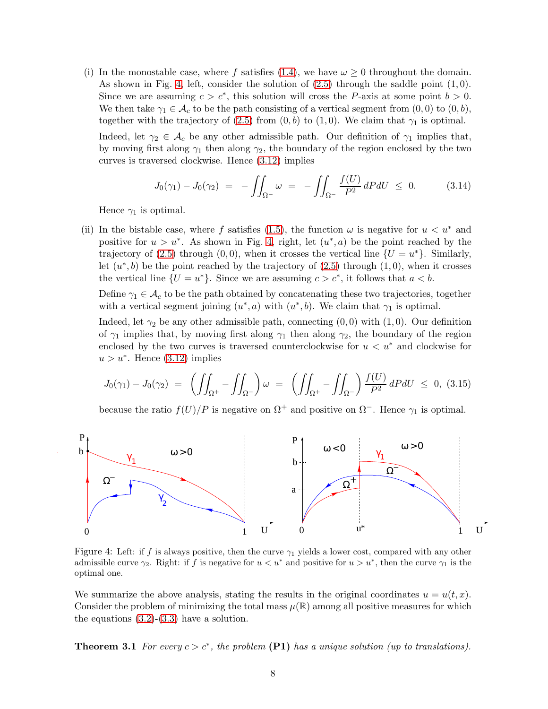(i) In the monostable case, where f satisfies [\(1.4\)](#page-1-4), we have  $\omega \geq 0$  throughout the domain. As shown in Fig. [4,](#page-7-0) left, consider the solution of  $(2.5)$  through the saddle point  $(1, 0)$ . Since we are assuming  $c > c^*$ , this solution will cross the P-axis at some point  $b > 0$ . We then take  $\gamma_1 \in \mathcal{A}_c$  to be the path consisting of a vertical segment from  $(0,0)$  to  $(0,b)$ , together with the trajectory of [\(2.5\)](#page-3-3) from  $(0, b)$  to  $(1, 0)$ . We claim that  $\gamma_1$  is optimal.

Indeed, let  $\gamma_2 \in \mathcal{A}_c$  be any other admissible path. Our definition of  $\gamma_1$  implies that, by moving first along  $\gamma_1$  then along  $\gamma_2$ , the boundary of the region enclosed by the two curves is traversed clockwise. Hence [\(3.12\)](#page-6-2) implies

$$
J_0(\gamma_1) - J_0(\gamma_2) = - \iint_{\Omega^-} \omega = - \iint_{\Omega^-} \frac{f(U)}{P^2} dP dU \leq 0. \qquad (3.14)
$$

Hence  $\gamma_1$  is optimal.

(ii) In the bistable case, where f satisfies [\(1.5\)](#page-1-5), the function  $\omega$  is negative for  $u < u^*$  and positive for  $u > u^*$ . As shown in Fig. [4,](#page-7-0) right, let  $(u^*, a)$  be the point reached by the trajectory of [\(2.5\)](#page-3-3) through (0,0), when it crosses the vertical line  $\{U = u^*\}$ . Similarly, let  $(u^*,b)$  be the point reached by the trajectory of  $(2.5)$  through  $(1,0)$ , when it crosses the vertical line  $\{U = u^*\}$ . Since we are assuming  $c > c^*$ , it follows that  $a < b$ .

Define  $\gamma_1 \in \mathcal{A}_c$  to be the path obtained by concatenating these two trajectories, together with a vertical segment joining  $(u^*, a)$  with  $(u^*, b)$ . We claim that  $\gamma_1$  is optimal.

Indeed, let  $\gamma_2$  be any other admissible path, connecting  $(0,0)$  with  $(1,0)$ . Our definition of  $\gamma_1$  implies that, by moving first along  $\gamma_1$  then along  $\gamma_2$ , the boundary of the region enclosed by the two curves is traversed counterclockwise for  $u < u^*$  and clockwise for  $u > u^*$ . Hence  $(3.12)$  implies

<span id="page-7-2"></span>
$$
J_0(\gamma_1) - J_0(\gamma_2) = \left( \iint_{\Omega^+} - \iint_{\Omega^-} \right) \omega = \left( \iint_{\Omega^+} - \iint_{\Omega^-} \right) \frac{f(U)}{P^2} dP dU \le 0, \ (3.15)
$$

because the ratio  $f(U)/P$  is negative on  $\Omega^+$  and positive on  $\Omega^-$ . Hence  $\gamma_1$  is optimal.



<span id="page-7-0"></span>Figure 4: Left: if f is always positive, then the curve  $\gamma_1$  yields a lower cost, compared with any other admissible curve  $\gamma_2$ . Right: if f is negative for  $u < u^*$  and positive for  $u > u^*$ , then the curve  $\gamma_1$  is the optimal one.

<span id="page-7-1"></span>We summarize the above analysis, stating the results in the original coordinates  $u = u(t, x)$ . Consider the problem of minimizing the total mass  $\mu(\mathbb{R})$  among all positive measures for which the equations  $(3.2)-(3.3)$  $(3.2)-(3.3)$  have a solution.

**Theorem 3.1** For every  $c > c^*$ , the problem  $(\textbf{P1})$  has a unique solution (up to translations).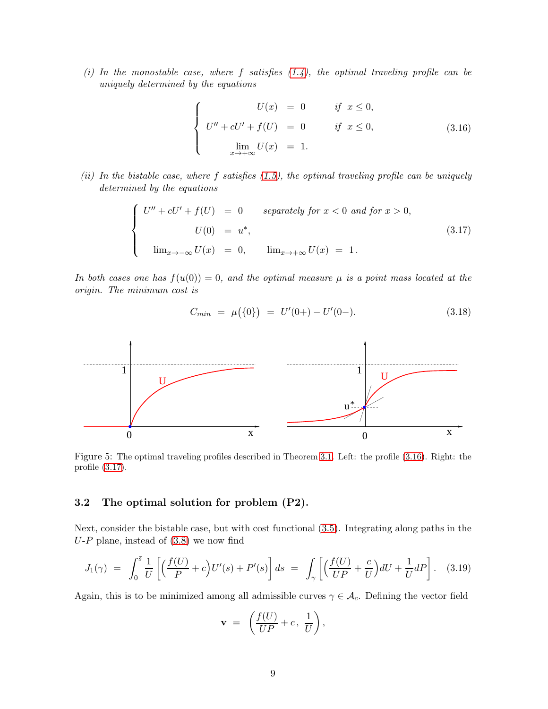(i) In the monostable case, where f satisfies  $(1.4)$ , the optimal traveling profile can be uniquely determined by the equations

<span id="page-8-0"></span>
$$
\begin{cases}\nU(x) = 0 & \text{if } x \le 0, \\
U'' + cU' + f(U) = 0 & \text{if } x \le 0, \\
\lim_{x \to +\infty} U(x) = 1.\n\end{cases}
$$
\n(3.16)

(ii) In the bistable case, where f satisfies  $(1.5)$ , the optimal traveling profile can be uniquely determined by the equations

<span id="page-8-1"></span>
$$
\begin{cases}\nU'' + cU' + f(U) = 0 & \text{separately for } x < 0 \text{ and for } x > 0, \\
U(0) = u^*, \\
\lim_{x \to -\infty} U(x) = 0, & \lim_{x \to +\infty} U(x) = 1.\n\end{cases}
$$
\n(3.17)

In both cases one has  $f(u(0)) = 0$ , and the optimal measure  $\mu$  is a point mass located at the origin. The minimum cost is

<span id="page-8-3"></span>
$$
C_{min} = \mu(\{0\}) = U'(0+) - U'(0-). \tag{3.18}
$$



Figure 5: The optimal traveling profiles described in Theorem [3.1.](#page-7-1) Left: the profile [\(3.16\)](#page-8-0). Right: the profile [\(3.17\)](#page-8-1).

### 3.2 The optimal solution for problem (P2).

Next, consider the bistable case, but with cost functional [\(3.5\)](#page-5-4). Integrating along paths in the  $U-P$  plane, instead of  $(3.8)$  we now find

<span id="page-8-2"></span>
$$
J_1(\gamma) = \int_0^{\bar{s}} \frac{1}{U} \left[ \left( \frac{f(U)}{P} + c \right) U'(s) + P'(s) \right] ds = \int_{\gamma} \left[ \left( \frac{f(U)}{UP} + \frac{c}{U} \right) dU + \frac{1}{U} dP \right]. \tag{3.19}
$$

Again, this is to be minimized among all admissible curves  $\gamma \in \mathcal{A}_c$ . Defining the vector field

$$
\mathbf{v} = \left(\frac{f(U)}{UP} + c, \frac{1}{U}\right),\,
$$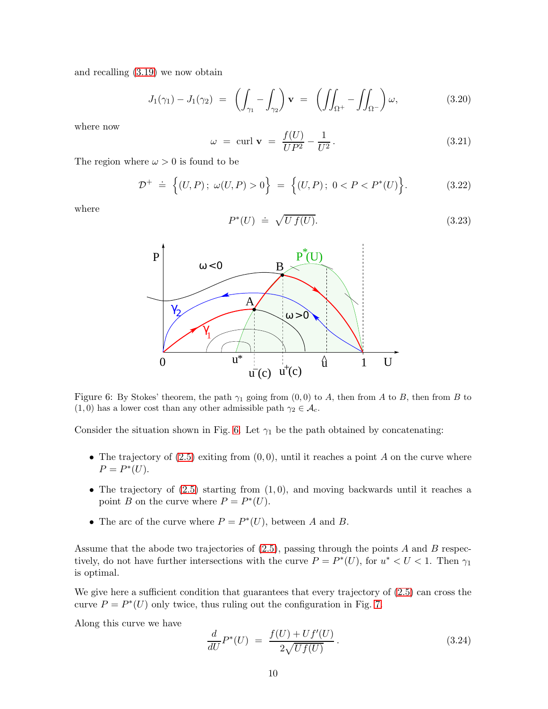and recalling [\(3.19\)](#page-8-2) we now obtain

$$
J_1(\gamma_1) - J_1(\gamma_2) = \left( \int_{\gamma_1} - \int_{\gamma_2} \right) \mathbf{v} = \left( \iint_{\Omega^+} - \iint_{\Omega^-} \right) \omega, \tag{3.20}
$$

where now

<span id="page-9-2"></span>
$$
\omega = \operatorname{curl} \mathbf{v} = \frac{f(U)}{UP^2} - \frac{1}{U^2}.
$$
\n(3.21)

The region where  $\omega > 0$  is found to be

$$
\mathcal{D}^+ \ \doteq \ \Big\{ (U, P) \, ; \ \omega(U, P) > 0 \Big\} \ = \ \Big\{ (U, P) \, ; \ 0 < P < P^*(U) \Big\} . \tag{3.22}
$$

where

$$
P^*(U) \doteq \sqrt{U f(U)}.\tag{3.23}
$$



<span id="page-9-0"></span>Figure 6: By Stokes' theorem, the path  $\gamma_1$  going from  $(0,0)$  to A, then from A to B, then from B to  $(1, 0)$  has a lower cost than any other admissible path  $\gamma_2 \in \mathcal{A}_c$ .

Consider the situation shown in Fig. [6.](#page-9-0) Let  $\gamma_1$  be the path obtained by concatenating:

- The trajectory of  $(2.5)$  exiting from  $(0,0)$ , until it reaches a point A on the curve where  $P = P^*(U).$
- The trajectory of  $(2.5)$  starting from  $(1, 0)$ , and moving backwards until it reaches a point B on the curve where  $P = P^*(U)$ .
- The arc of the curve where  $P = P^*(U)$ , between A and B.

Assume that the abode two trajectories of  $(2.5)$ , passing through the points A and B respectively, do not have further intersections with the curve  $P = P^*(U)$ , for  $u^* < U < 1$ . Then  $\gamma_1$ is optimal.

We give here a sufficient condition that guarantees that every trajectory of  $(2.5)$  can cross the curve  $P = P^*(U)$  only twice, thus ruling out the configuration in Fig. [7.](#page-12-0)

Along this curve we have

<span id="page-9-1"></span>
$$
\frac{d}{dU}P^*(U) = \frac{f(U) + Uf'(U)}{2\sqrt{Uf(U)}}.
$$
\n(3.24)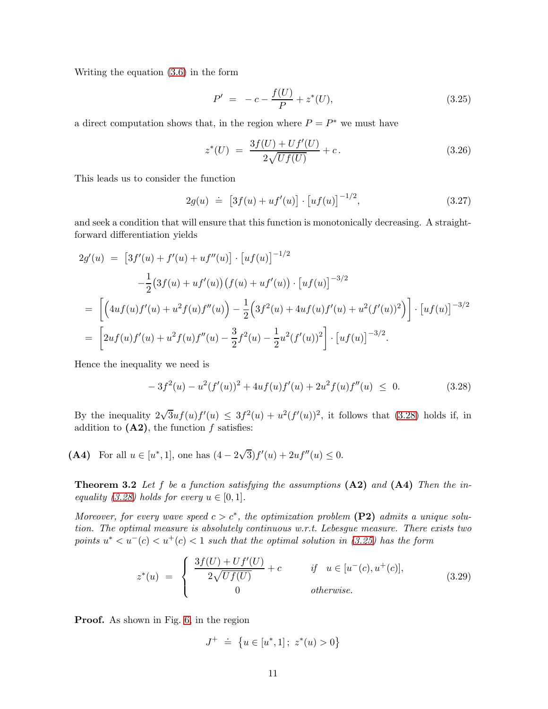Writing the equation [\(3.6\)](#page-5-2) in the form

<span id="page-10-1"></span>
$$
P' = -c - \frac{f(U)}{P} + z^*(U), \tag{3.25}
$$

a direct computation shows that, in the region where  $P = P^*$  we must have

<span id="page-10-2"></span>
$$
z^*(U) = \frac{3f(U) + Uf'(U)}{2\sqrt{Uf(U)}} + c.
$$
\n(3.26)

This leads us to consider the function

<span id="page-10-3"></span>
$$
2g(u) \doteq [3f(u) + uf'(u)] \cdot [uf(u)]^{-1/2}, \qquad (3.27)
$$

and seek a condition that will ensure that this function is monotonically decreasing. A straightforward differentiation yields

$$
2g'(u) = [3f'(u) + f'(u) + uf''(u)] \cdot [uf(u)]^{-1/2}
$$
  

$$
-\frac{1}{2}(3f(u) + uf'(u))(f(u) + uf'(u)) \cdot [uf(u)]^{-3/2}
$$
  

$$
= \left[ \left( 4uf(u)f'(u) + u^2f(u)f''(u) \right) - \frac{1}{2}\left(3f^2(u) + 4uf(u)f'(u) + u^2(f'(u))^2 \right) \right] \cdot [uf(u)]^{-3/2}
$$
  

$$
= \left[ 2uf(u)f'(u) + u^2f(u)f''(u) - \frac{3}{2}f^2(u) - \frac{1}{2}u^2(f'(u))^2 \right] \cdot [uf(u)]^{-3/2}.
$$

Hence the inequality we need is

<span id="page-10-0"></span>
$$
-3f^{2}(u) - u^{2}(f'(u))^{2} + 4uf(u)f'(u) + 2u^{2}f(u)f''(u) \leq 0.
$$
 (3.28)

By the inequality  $2\sqrt{3}uf(u)f'(u) \leq 3f^2(u) + u^2(f'(u))^2$ , it follows that [\(3.28\)](#page-10-0) holds if, in addition to  $(A2)$ , the function f satisfies:

<span id="page-10-4"></span>(A4) For all  $u \in [u^*, 1]$ , one has  $(4 - 2\sqrt{3})f'(u) + 2uf''(u) \le 0$ .

**Theorem 3.2** Let f be a function satisfying the assumptions  $(A2)$  and  $(A4)$  Then the in-equality [\(3.28\)](#page-10-0) holds for every  $u \in [0,1]$ .

Moreover, for every wave speed  $c > c^*$ , the optimization problem (P2) admits a unique solution. The optimal measure is absolutely continuous w.r.t. Lebesgue measure. There exists two points  $u^* < u^-(c) < u^+(c) < 1$  such that the optimal solution in [\(3.25\)](#page-10-1) has the form

<span id="page-10-5"></span>
$$
z^*(u) = \begin{cases} \frac{3f(U) + Uf'(U)}{2\sqrt{Uf(U)}} + c & \text{if } u \in [u^-(c), u^+(c)], \\ 0 & \text{otherwise.} \end{cases}
$$
(3.29)

Proof. As shown in Fig. [6,](#page-9-0) in the region

$$
J^{+} \doteq \{ u \in [u^*, 1]; \ z^*(u) > 0 \}
$$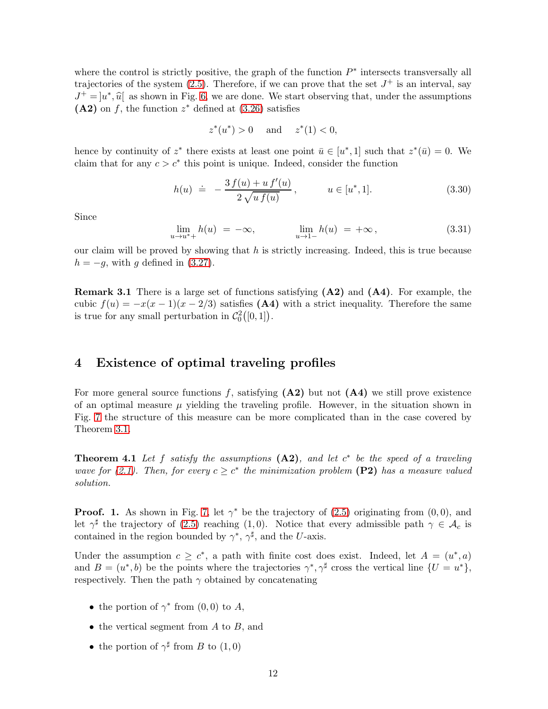where the control is strictly positive, the graph of the function  $P^*$  intersects transversally all trajectories of the system  $(2.5)$ . Therefore, if we can prove that the set  $J^+$  is an interval, say  $J^+ = [u^*, \hat{u}]$  as shown in Fig. [6,](#page-9-0) we are done. We start observing that, under the assumptions  $(A2)$  on f, the function  $z^*$  defined at  $(3.26)$  satisfies

$$
z^*(u^*) > 0
$$
 and  $z^*(1) < 0$ ,

hence by continuity of  $z^*$  there exists at least one point  $\bar{u} \in [u^*, 1]$  such that  $z^*(\bar{u}) = 0$ . We claim that for any  $c > c^*$  this point is unique. Indeed, consider the function

$$
h(u) \doteq -\frac{3 f(u) + u f'(u)}{2 \sqrt{u f(u)}}, \qquad u \in [u^*, 1]. \tag{3.30}
$$

Since

$$
\lim_{u \to u^*+} h(u) = -\infty, \qquad \lim_{u \to 1-} h(u) = +\infty, \tag{3.31}
$$

our claim will be proved by showing that  $h$  is strictly increasing. Indeed, this is true because  $h = -g$ , with g defined in [\(3.27\)](#page-10-3).

Remark 3.1 There is a large set of functions satisfying (A2) and (A4). For example, the cubic  $f(u) = -x(x-1)(x-2/3)$  satisfies (A4) with a strict inequality. Therefore the same is true for any small perturbation in  $C_0^2([0,1])$ .

### <span id="page-11-0"></span>4 Existence of optimal traveling profiles

For more general source functions f, satisfying  $(A2)$  but not  $(A4)$  we still prove existence of an optimal measure  $\mu$  yielding the traveling profile. However, in the situation shown in Fig. [7](#page-12-0) the structure of this measure can be more complicated than in the case covered by Theorem [3.1.](#page-7-1)

**Theorem 4.1** Let f satisfy the assumptions  $(A2)$ , and let  $c^*$  be the speed of a traveling wave for [\(2.1\)](#page-3-1). Then, for every  $c \geq c^*$  the minimization problem (P2) has a measure valued solution.

**Proof.** 1. As shown in Fig. [7,](#page-12-0) let  $\gamma^*$  be the trajectory of [\(2.5\)](#page-3-3) originating from  $(0,0)$ , and let  $\gamma^{\sharp}$  the trajectory of [\(2.5\)](#page-3-3) reaching (1,0). Notice that every admissible path  $\gamma \in \mathcal{A}_c$  is contained in the region bounded by  $\gamma^*$ ,  $\gamma^{\sharp}$ , and the U-axis.

Under the assumption  $c \geq c^*$ , a path with finite cost does exist. Indeed, let  $A = (u^*, a)$ and  $B = (u^*, b)$  be the points where the trajectories  $\gamma^*, \gamma^{\sharp}$  cross the vertical line  $\{U = u^*\},$ respectively. Then the path  $\gamma$  obtained by concatenating

- the portion of  $\gamma^*$  from  $(0,0)$  to A,
- the vertical segment from  $A$  to  $B$ , and
- the portion of  $\gamma^{\sharp}$  from B to  $(1,0)$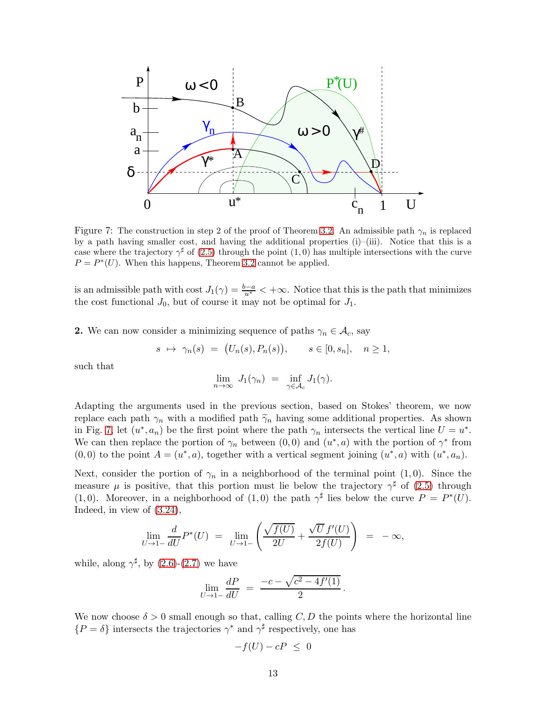

<span id="page-12-0"></span>Figure 7: The construction in step 2 of the proof of Theorem [3.2.](#page-10-4) An admissible path  $\gamma_n$  is replaced by a path having smaller cost, and having the additional properties (i)–(iii). Notice that this is a case where the trajectory  $\gamma^{\sharp}$  of [\(2.5\)](#page-3-3) through the point (1,0) has multiple intersections with the curve  $P = P^*(U)$ . When this happens, Theorem [3.2](#page-10-4) cannot be applied.

is an admissible path with cost  $J_1(\gamma) = \frac{b-a}{u^*} < +\infty$ . Notice that this is the path that minimizes the cost functional  $J_0$ , but of course it may not be optimal for  $J_1$ .

**2.** We can now consider a minimizing sequence of paths  $\gamma_n \in \mathcal{A}_c$ , say

$$
s \mapsto \gamma_n(s) = (U_n(s), P_n(s)), \quad s \in [0, s_n], \quad n \ge 1,
$$

such that

$$
\lim_{n \to \infty} J_1(\gamma_n) = \inf_{\gamma \in \mathcal{A}_c} J_1(\gamma).
$$

Adapting the arguments used in the previous section, based on Stokes' theorem, we now replace each path  $\gamma_n$  with a modified path  $\tilde{\gamma}_n$  having some additional properties. As shown in Fig. [7,](#page-12-0) let  $(u^*, a_n)$  be the first point where the path  $\gamma_n$  intersects the vertical line  $U = u^*$ . We can then replace the portion of  $\gamma_n$  between  $(0,0)$  and  $(u^*,a)$  with the portion of  $\gamma^*$  from  $(0,0)$  to the point  $A=(u^*,a)$ , together with a vertical segment joining  $(u^*,a)$  with  $(u^*,a_n)$ .

Next, consider the portion of  $\gamma_n$  in a neighborhood of the terminal point (1,0). Since the measure  $\mu$  is positive, that this portion must lie below the trajectory  $\gamma^{\sharp}$  of [\(2.5\)](#page-3-3) through (1,0). Moreover, in a neighborhood of (1,0) the path  $\gamma^{\sharp}$  lies below the curve  $P = P^*(U)$ . Indeed, in view of [\(3.24\)](#page-9-1),

$$
\lim_{U \to 1-} \frac{d}{dU} P^*(U) = \lim_{U \to 1-} \left( \frac{\sqrt{f(U)}}{2U} + \frac{\sqrt{U} f'(U)}{2f(U)} \right) = -\infty,
$$

while, along  $\gamma^{\sharp}$ , by [\(2.6\)](#page-3-7)-[\(2.7\)](#page-4-3) we have

$$
\lim_{U \to 1-} \frac{dP}{dU} = \frac{-c - \sqrt{c^2 - 4f'(1)}}{2}.
$$

We now choose  $\delta > 0$  small enough so that, calling C, D the points where the horizontal line  $\{P = \delta\}$  intersects the trajectories  $\gamma^*$  and  $\gamma^{\sharp}$  respectively, one has

$$
-f(U) - cP \leq 0
$$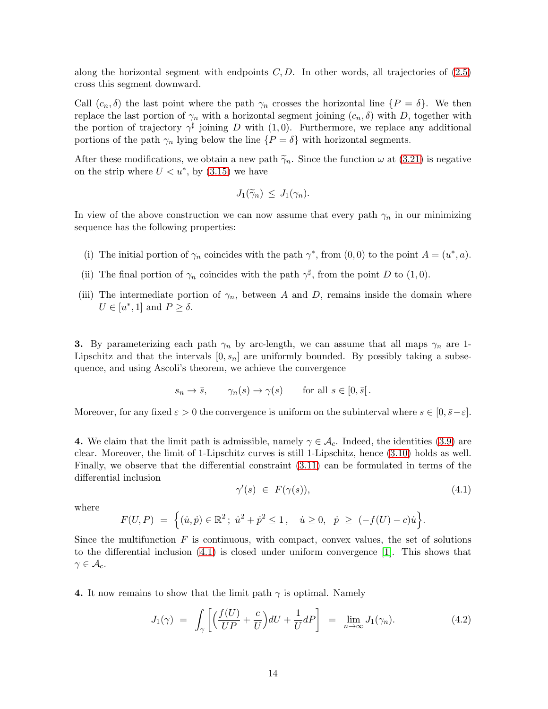along the horizontal segment with endpoints  $C, D$ . In other words, all trajectories of  $(2.5)$ cross this segment downward.

Call  $(c_n, \delta)$  the last point where the path  $\gamma_n$  crosses the horizontal line  $\{P = \delta\}$ . We then replace the last portion of  $\gamma_n$  with a horizontal segment joining  $(c_n, \delta)$  with D, together with the portion of trajectory  $\gamma^{\sharp}$  joining D with (1,0). Furthermore, we replace any additional portions of the path  $\gamma_n$  lying below the line  $\{P = \delta\}$  with horizontal segments.

After these modifications, we obtain a new path  $\tilde{\gamma}_n$ . Since the function  $\omega$  at [\(3.21\)](#page-9-2) is negative on the strip where  $U < u^*$ , by  $(3.15)$  we have

$$
J_1(\widetilde{\gamma}_n) \leq J_1(\gamma_n).
$$

In view of the above construction we can now assume that every path  $\gamma_n$  in our minimizing sequence has the following properties:

- (i) The initial portion of  $\gamma_n$  coincides with the path  $\gamma^*$ , from  $(0,0)$  to the point  $A = (u^*, a)$ .
- (ii) The final portion of  $\gamma_n$  coincides with the path  $\gamma^{\sharp}$ , from the point D to (1,0).
- (iii) The intermediate portion of  $\gamma_n$ , between A and D, remains inside the domain where  $U \in [u^*, 1]$  and  $P \ge \delta$ .

**3.** By parameterizing each path  $\gamma_n$  by arc-length, we can assume that all maps  $\gamma_n$  are 1-Lipschitz and that the intervals  $[0, s_n]$  are uniformly bounded. By possibly taking a subsequence, and using Ascoli's theorem, we achieve the convergence

$$
s_n \to \bar{s}
$$
,  $\gamma_n(s) \to \gamma(s)$  for all  $s \in [0, \bar{s}].$ 

Moreover, for any fixed  $\varepsilon > 0$  the convergence is uniform on the subinterval where  $s \in [0, \bar{s} - \varepsilon]$ .

4. We claim that the limit path is admissible, namely  $\gamma \in \mathcal{A}_c$ . Indeed, the identities [\(3.9\)](#page-6-3) are clear. Moreover, the limit of 1-Lipschitz curves is still 1-Lipschitz, hence [\(3.10\)](#page-6-4) holds as well. Finally, we observe that the differential constraint [\(3.11\)](#page-6-5) can be formulated in terms of the differential inclusion

<span id="page-13-0"></span>
$$
\gamma'(s) \in F(\gamma(s)), \tag{4.1}
$$

where

$$
F(U, P) = \left\{ (\dot{u}, \dot{p}) \in \mathbb{R}^2 \, ; \, \dot{u}^2 + \dot{p}^2 \le 1 \, , \quad \dot{u} \ge 0, \, \dot{p} \ge (-f(U) - c)\dot{u} \right\}.
$$

Since the multifunction  $F$  is continuous, with compact, convex values, the set of solutions to the differential inclusion [\(4.1\)](#page-13-0) is closed under uniform convergence [\[1\]](#page-27-1). This shows that  $\gamma\in\mathcal{A}_c$ .

4. It now remains to show that the limit path  $\gamma$  is optimal. Namely

$$
J_1(\gamma) = \int_{\gamma} \left[ \left( \frac{f(U)}{UP} + \frac{c}{U} \right) dU + \frac{1}{U} dP \right] = \lim_{n \to \infty} J_1(\gamma_n). \tag{4.2}
$$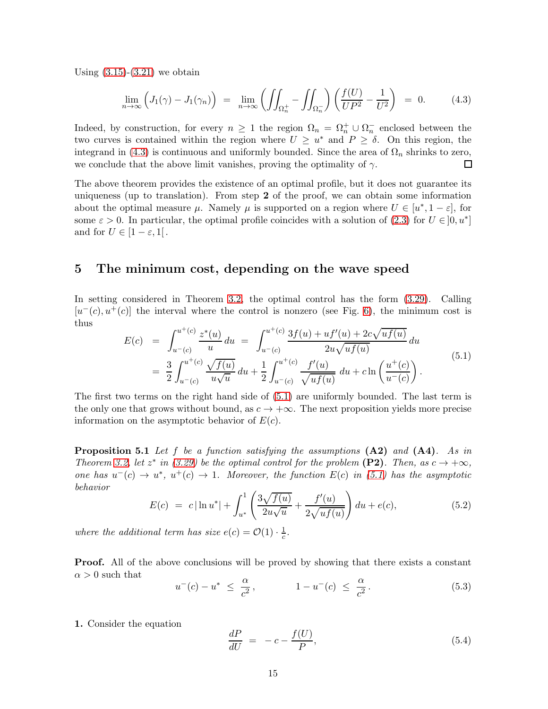Using  $(3.15)-(3.21)$  $(3.15)-(3.21)$  we obtain

<span id="page-14-2"></span>
$$
\lim_{n \to \infty} \left( J_1(\gamma) - J_1(\gamma_n) \right) = \lim_{n \to \infty} \left( \iint_{\Omega_n^+} - \iint_{\Omega_n^-} \right) \left( \frac{f(U)}{U P^2} - \frac{1}{U^2} \right) = 0. \tag{4.3}
$$

Indeed, by construction, for every  $n \geq 1$  the region  $\Omega_n = \Omega_n^+ \cup \Omega_n^-$  enclosed between the two curves is contained within the region where  $U \geq u^*$  and  $P \geq \delta$ . On this region, the integrand in [\(4.3\)](#page-14-2) is continuous and uniformly bounded. Since the area of  $\Omega_n$  shrinks to zero, we conclude that the above limit vanishes, proving the optimality of  $\gamma$ . □

The above theorem provides the existence of an optimal profile, but it does not guarantee its uniqueness (up to translation). From step 2 of the proof, we can obtain some information about the optimal measure  $\mu$ . Namely  $\mu$  is supported on a region where  $U \in [u^*, 1 - \varepsilon]$ , for some  $\varepsilon > 0$ . In particular, the optimal profile coincides with a solution of [\(2.3\)](#page-3-2) for  $U \in ]0, u^*]$ and for  $U \in [1-\varepsilon, 1]$ .

### <span id="page-14-0"></span>5 The minimum cost, depending on the wave speed

In setting considered in Theorem [3.2,](#page-10-4) the optimal control has the form [\(3.29\)](#page-10-5). Calling  $[u^-(c), u^+(c)]$  the interval where the control is nonzero (see Fig. [6\)](#page-9-0), the minimum cost is thus

<span id="page-14-3"></span>
$$
E(c) = \int_{u^-(c)}^{u^+(c)} \frac{z^*(u)}{u} du = \int_{u^-(c)}^{u^+(c)} \frac{3f(u) + uf'(u) + 2c\sqrt{uf(u)}}{2u\sqrt{uf(u)}} du
$$
  

$$
= \frac{3}{2} \int_{u^-(c)}^{u^+(c)} \frac{\sqrt{f(u)}}{u\sqrt{u}} du + \frac{1}{2} \int_{u^-(c)}^{u^+(c)} \frac{f'(u)}{\sqrt{uf(u)}} du + c \ln\left(\frac{u^+(c)}{u^-(c)}\right).
$$
(5.1)

The first two terms on the right hand side of [\(5.1\)](#page-14-3) are uniformly bounded. The last term is the only one that grows without bound, as  $c \to +\infty$ . The next proposition yields more precise information on the asymptotic behavior of  $E(c)$ .

<span id="page-14-6"></span>**Proposition 5.1** Let f be a function satisfying the assumptions  $(A2)$  and  $(A4)$ . As in Theorem [3.2,](#page-10-4) let  $z^*$  in [\(3.29\)](#page-10-5) be the optimal control for the problem (P2). Then, as  $c \to +\infty$ , one has  $u^-(c) \to u^*$ ,  $u^+(c) \to 1$ . Moreover, the function  $E(c)$  in [\(5.1\)](#page-14-3) has the asymptotic behavior

<span id="page-14-1"></span>
$$
E(c) = c |\ln u^*| + \int_{u^*}^1 \left( \frac{3\sqrt{f(u)}}{2u\sqrt{u}} + \frac{f'(u)}{2\sqrt{uf(u)}} \right) du + e(c), \tag{5.2}
$$

where the additional term has size  $e(c) = \mathcal{O}(1) \cdot \frac{1}{c}$  $\frac{1}{c}$ .

**Proof.** All of the above conclusions will be proved by showing that there exists a constant  $\alpha > 0$  such that

<span id="page-14-5"></span>
$$
u^-(c) - u^* \le \frac{\alpha}{c^2},
$$
  $1 - u^-(c) \le \frac{\alpha}{c^2}.$  (5.3)

1. Consider the equation

<span id="page-14-4"></span>
$$
\frac{dP}{dU} = -c - \frac{f(U)}{P},\tag{5.4}
$$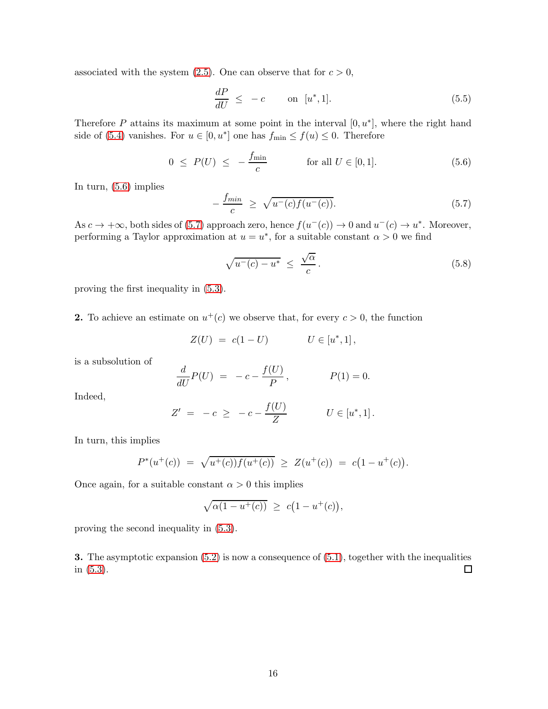associated with the system  $(2.5)$ . One can observe that for  $c > 0$ ,

$$
\frac{dP}{dU} \le -c \qquad \text{on } [u^*, 1]. \tag{5.5}
$$

Therefore P attains its maximum at some point in the interval  $[0, u^*]$ , where the right hand side of [\(5.4\)](#page-14-4) vanishes. For  $u \in [0, u^*]$  one has  $f_{\text{min}} \le f(u) \le 0$ . Therefore

<span id="page-15-0"></span>
$$
0 \le P(U) \le -\frac{f_{\min}}{c}
$$
 for all  $U \in [0, 1]$ . (5.6)

In turn, [\(5.6\)](#page-15-0) implies

<span id="page-15-1"></span>
$$
-\frac{f_{min}}{c} \ge \sqrt{u^-(c)f(u^-(c))}.
$$
 (5.7)

As  $c \to +\infty$ , both sides of [\(5.7\)](#page-15-1) approach zero, hence  $f(u^-(c)) \to 0$  and  $u^-(c) \to u^*$ . Moreover, performing a Taylor approximation at  $u = u^*$ , for a suitable constant  $\alpha > 0$  we find

$$
\sqrt{u^-(c) - u^*} \leq \frac{\sqrt{\alpha}}{c}.
$$
\n(5.8)

proving the first inequality in [\(5.3\)](#page-14-5).

**2.** To achieve an estimate on  $u^+(c)$  we observe that, for every  $c > 0$ , the function

$$
Z(U)\ =\ c(1-U)\qquad \qquad U\in\left[ u^{\ast},1\right] ,
$$

is a subsolution of

$$
\frac{d}{dU}P(U) = -c - \frac{f(U)}{P}, \qquad P(1) = 0.
$$

Indeed,

$$
Z' = -c \ge -c - \frac{f(U)}{Z} \qquad U \in [u^*, 1].
$$

In turn, this implies

$$
P^*(u^+(c)) = \sqrt{u^+(c))f(u^+(c))} \ge Z(u^+(c)) = c(1-u^+(c)).
$$

Once again, for a suitable constant  $\alpha > 0$  this implies

$$
\sqrt{\alpha(1 - u^+(c))} \ \ge \ c(1 - u^+(c)),
$$

proving the second inequality in [\(5.3\)](#page-14-5).

3. The asymptotic expansion [\(5.2\)](#page-14-1) is now a consequence of [\(5.1\)](#page-14-3), together with the inequalities in [\(5.3\)](#page-14-5). 口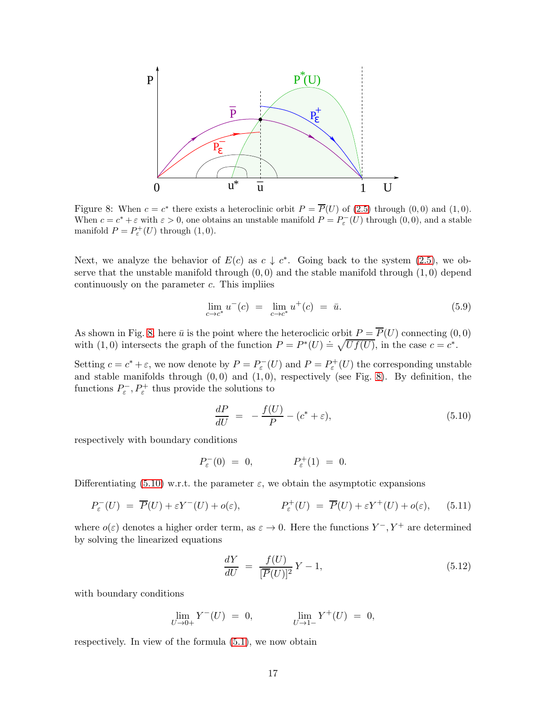

<span id="page-16-0"></span>Figure 8: When  $c = c^*$  there exists a heteroclinic orbit  $P = \overline{P}(U)$  of [\(2.5\)](#page-3-3) through (0,0) and (1,0). When  $c = c^* + \varepsilon$  with  $\varepsilon > 0$ , one obtains an unstable manifold  $P = P_{\varepsilon}^{-}(U)$  through  $(0,0)$ , and a stable manifold  $P = P_{\varepsilon}^{+}(U)$  through  $(1,0)$ .

Next, we analyze the behavior of  $E(c)$  as  $c \downarrow c^*$ . Going back to the system [\(2.5\)](#page-3-3), we observe that the unstable manifold through  $(0, 0)$  and the stable manifold through  $(1, 0)$  depend continuously on the parameter  $c$ . This impliies

$$
\lim_{c \to c^*} u^-(c) = \lim_{c \to c^*} u^+(c) = \bar{u}.\tag{5.9}
$$

As shown in Fig. [8,](#page-16-0) here  $\bar{u}$  is the point where the heteroclicic orbit  $P = P(U)$  connecting  $(0,0)$ with (1,0) intersects the graph of the function  $P = P^*(U) = \sqrt{Uf(U)}$ , in the case  $c = c^*$ .

Setting  $c = c^* + \varepsilon$ , we now denote by  $P = P_{\varepsilon}^-(U)$  and  $P = P_{\varepsilon}^+(U)$  the corresponding unstable and stable manifolds through  $(0, 0)$  and  $(1, 0)$ , respectively (see Fig. [8\)](#page-16-0). By definition, the functions  $P_{\varepsilon}^{-}$ ,  $P_{\varepsilon}^{+}$  thus provide the solutions to

<span id="page-16-1"></span>
$$
\frac{dP}{dU} = -\frac{f(U)}{P} - (c^* + \varepsilon),\tag{5.10}
$$

respectively with boundary conditions

$$
P_{\varepsilon}^{-}(0) = 0, \qquad P_{\varepsilon}^{+}(1) = 0.
$$

Differentiating [\(5.10\)](#page-16-1) w.r.t. the parameter  $\varepsilon$ , we obtain the asymptotic expansions

<span id="page-16-2"></span>
$$
P_{\varepsilon}^{-}(U) = \overline{P}(U) + \varepsilon Y^{-}(U) + o(\varepsilon), \qquad P_{\varepsilon}^{+}(U) = \overline{P}(U) + \varepsilon Y^{+}(U) + o(\varepsilon), \qquad (5.11)
$$

where  $o(\varepsilon)$  denotes a higher order term, as  $\varepsilon \to 0$ . Here the functions  $Y^-, Y^+$  are determined by solving the linearized equations

$$
\frac{dY}{dU} = \frac{f(U)}{[\overline{P}(U)]^2}Y - 1,\tag{5.12}
$$

with boundary conditions

$$
\lim_{U \to 0+} Y^-(U) = 0, \qquad \lim_{U \to 1-} Y^+(U) = 0,
$$

respectively. In view of the formula [\(5.1\)](#page-14-3), we now obtain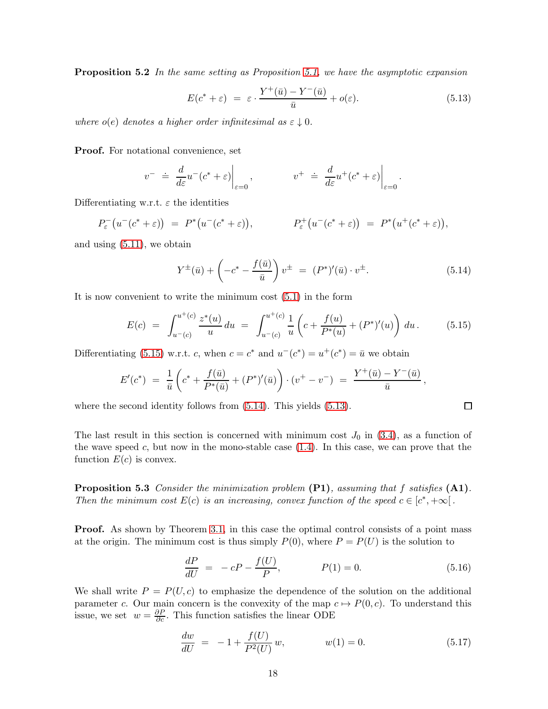**Proposition 5.2** In the same setting as Proposition [5.1,](#page-14-6) we have the asymptotic expansion

<span id="page-17-3"></span>
$$
E(c^* + \varepsilon) = \varepsilon \cdot \frac{Y^+(\bar{u}) - Y^-(\bar{u})}{\bar{u}} + o(\varepsilon). \tag{5.13}
$$

where  $o(e)$  denotes a higher order infinitesimal as  $\varepsilon \downarrow 0$ .

Proof. For notational convenience, set

$$
v^- \doteq \left. \frac{d}{d\varepsilon} u^-(c^* + \varepsilon) \right|_{\varepsilon=0}, \qquad v^+ \doteq \left. \frac{d}{d\varepsilon} u^+(c^* + \varepsilon) \right|_{\varepsilon=0}.
$$

Differentiating w.r.t.  $\varepsilon$  the identities

$$
P_{\varepsilon}^{-}(u^{-}(c^*+\varepsilon)) = P^{*}(u^{-}(c^*+\varepsilon)), \qquad P_{\varepsilon}^{+}(u^{-}(c^*+\varepsilon)) = P^{*}(u^{+}(c^*+\varepsilon)),
$$

and using [\(5.11\)](#page-16-2), we obtain

<span id="page-17-2"></span>
$$
Y^{\pm}(\bar{u}) + \left(-c^* - \frac{f(\bar{u})}{\bar{u}}\right)v^{\pm} = (P^*)'(\bar{u}) \cdot v^{\pm}.
$$
 (5.14)

It is now convenient to write the minimum cost [\(5.1\)](#page-14-3) in the form

<span id="page-17-1"></span>
$$
E(c) = \int_{u^-(c)}^{u^+(c)} \frac{z^*(u)}{u} du = \int_{u^-(c)}^{u^+(c)} \frac{1}{u} \left( c + \frac{f(u)}{P^*(u)} + (P^*)'(u) \right) du. \tag{5.15}
$$

Differentiating [\(5.15\)](#page-17-1) w.r.t. c, when  $c = c^*$  and  $u^-(c^*) = u^+(c^*) = \bar{u}$  we obtain

$$
E'(c^*) = \frac{1}{\bar{u}} \left( c^* + \frac{f(\bar{u})}{P^*(\bar{u})} + (P^*)'( \bar{u}) \right) \cdot (v^+ - v^-) = \frac{Y^+(\bar{u}) - Y^-(\bar{u})}{\bar{u}},
$$

where the second identity follows from  $(5.14)$ . This yields  $(5.13)$ .

<span id="page-17-0"></span>The last result in this section is concerned with minimum cost  $J_0$  in [\(3.4\)](#page-5-3), as a function of the wave speed c, but now in the mono-stable case  $(1.4)$ . In this case, we can prove that the function  $E(c)$  is convex.

**Proposition 5.3** Consider the minimization problem  $(PI)$ , assuming that f satisfies  $(1)$ . Then the minimum cost  $E(c)$  is an increasing, convex function of the speed  $c \in [c^*, +\infty[$ .

**Proof.** As shown by Theorem [3.1,](#page-7-1) in this case the optimal control consists of a point mass at the origin. The minimum cost is thus simply  $P(0)$ , where  $P = P(U)$  is the solution to

$$
\frac{dP}{dU} = -cP - \frac{f(U)}{P}, \qquad P(1) = 0.
$$
\n(5.16)

We shall write  $P = P(U, c)$  to emphasize the dependence of the solution on the additional parameter c. Our main concern is the convexity of the map  $c \mapsto P(0, c)$ . To understand this issue, we set  $w = \frac{\partial P}{\partial c}$ . This function satisfies the linear ODE

<span id="page-17-4"></span>
$$
\frac{dw}{dU} = -1 + \frac{f(U)}{P^2(U)}w, \qquad w(1) = 0.
$$
\n(5.17)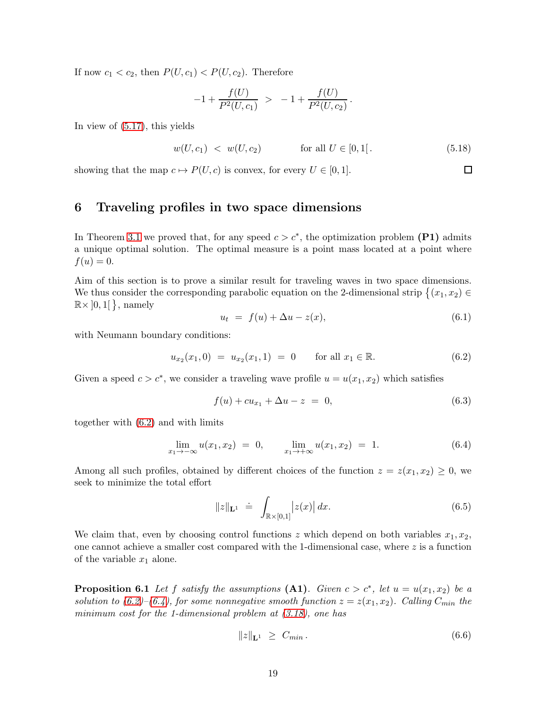If now  $c_1 < c_2$ , then  $P(U, c_1) < P(U, c_2)$ . Therefore

$$
-1 + \frac{f(U)}{P^2(U, c_1)} > -1 + \frac{f(U)}{P^2(U, c_2)}.
$$

In view of [\(5.17\)](#page-17-4), this yields

$$
w(U, c_1) < w(U, c_2) \quad \text{for all } U \in [0, 1]. \tag{5.18}
$$

 $\Box$ 

<span id="page-18-0"></span>showing that the map  $c \mapsto P(U, c)$  is convex, for every  $U \in [0, 1]$ .

# 6 Traveling profiles in two space dimensions

In Theorem [3.1](#page-7-1) we proved that, for any speed  $c > c^*$ , the optimization problem (P1) admits a unique optimal solution. The optimal measure is a point mass located at a point where  $f(u) = 0.$ 

Aim of this section is to prove a similar result for traveling waves in two space dimensions. We thus consider the corresponding parabolic equation on the 2-dimensional strip  $\{(x_1, x_2) \in \mathbb{R}^2 : |x_1| \leq x_2\}$  $\mathbb{R} \times ]0,1[$ }, namely

<span id="page-18-5"></span>
$$
u_t = f(u) + \Delta u - z(x), \tag{6.1}
$$

with Neumann boundary conditions:

<span id="page-18-2"></span>
$$
u_{x_2}(x_1,0) = u_{x_2}(x_1,1) = 0 \quad \text{for all } x_1 \in \mathbb{R}.
$$
 (6.2)

Given a speed  $c > c^*$ , we consider a traveling wave profile  $u = u(x_1, x_2)$  which satisfies

<span id="page-18-4"></span>
$$
f(u) + cu_{x_1} + \Delta u - z = 0, \tag{6.3}
$$

together with [\(6.2\)](#page-18-2) and with limits

<span id="page-18-3"></span>
$$
\lim_{x_1 \to -\infty} u(x_1, x_2) = 0, \qquad \lim_{x_1 \to +\infty} u(x_1, x_2) = 1.
$$
 (6.4)

Among all such profiles, obtained by different choices of the function  $z = z(x_1, x_2) \geq 0$ , we seek to minimize the total effort

$$
||z||_{\mathbf{L}^{1}} \doteq \int_{\mathbb{R} \times [0,1]} |z(x)| dx. \tag{6.5}
$$

<span id="page-18-1"></span>We claim that, even by choosing control functions z which depend on both variables  $x_1, x_2$ , one cannot achieve a smaller cost compared with the 1-dimensional case, where  $z$  is a function of the variable  $x_1$  alone.

**Proposition 6.1** Let f satisfy the assumptions  $(A1)$ . Given  $c > c^*$ , let  $u = u(x_1, x_2)$  be a solution to  $(6.2)$ – $(6.4)$ , for some nonnegative smooth function  $z = z(x_1, x_2)$ . Calling  $C_{min}$  the minimum cost for the 1-dimensional problem at  $(3.18)$ , one has

$$
||z||_{\mathbf{L}^1} \geq C_{min} \,. \tag{6.6}
$$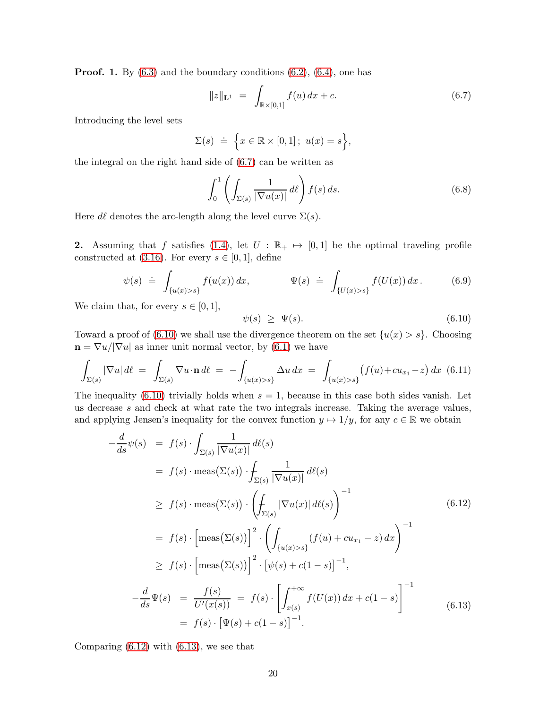**Proof.** 1. By  $(6.3)$  and the boundary conditions  $(6.2)$ ,  $(6.4)$ , one has

<span id="page-19-0"></span>
$$
||z||_{\mathbf{L}^{1}} = \int_{\mathbb{R} \times [0,1]} f(u) dx + c.
$$
 (6.7)

Introducing the level sets

$$
\Sigma(s) \doteq \left\{ x \in \mathbb{R} \times [0,1]; \ u(x) = s \right\},\
$$

the integral on the right hand side of [\(6.7\)](#page-19-0) can be written as

$$
\int_0^1 \left( \int_{\Sigma(s)} \frac{1}{|\nabla u(x)|} \, d\ell \right) f(s) \, ds. \tag{6.8}
$$

Here  $d\ell$  denotes the arc-length along the level curve  $\Sigma(s)$ .

2. Assuming that f satisfies [\(1.4\)](#page-1-4), let  $U : \mathbb{R}_+ \mapsto [0, 1]$  be the optimal traveling profile constructed at [\(3.16\)](#page-8-0). For every  $s \in [0,1]$ , define

$$
\psi(s) \doteq \int_{\{u(x) > s\}} f(u(x)) dx, \qquad \Psi(s) \doteq \int_{\{U(x) > s\}} f(U(x)) dx. \qquad (6.9)
$$

We claim that, for every  $s \in [0, 1]$ ,

<span id="page-19-1"></span>
$$
\psi(s) \geq \Psi(s). \tag{6.10}
$$

Toward a proof of [\(6.10\)](#page-19-1) we shall use the divergence theorem on the set  $\{u(x) > s\}$ . Choosing  $\mathbf{n} = \nabla u / |\nabla u|$  as inner unit normal vector, by [\(6.1\)](#page-18-5) we have

$$
\int_{\Sigma(s)} |\nabla u| \, d\ell = \int_{\Sigma(s)} \nabla u \cdot \mathbf{n} \, d\ell = -\int_{\{u(x) > s\}} \Delta u \, dx = \int_{\{u(x) > s\}} (f(u) + cu_{x_1} - z) \, dx \tag{6.11}
$$

The inequality [\(6.10\)](#page-19-1) trivially holds when  $s = 1$ , because in this case both sides vanish. Let us decrease s and check at what rate the two integrals increase. Taking the average values, and applying Jensen's inequality for the convex function  $y \mapsto 1/y$ , for any  $c \in \mathbb{R}$  we obtain

<span id="page-19-2"></span>
$$
-\frac{d}{ds}\psi(s) = f(s) \cdot \int_{\Sigma(s)} \frac{1}{|\nabla u(x)|} d\ell(s)
$$
  
\n
$$
= f(s) \cdot \text{meas}(\Sigma(s)) \cdot \int_{\Sigma(s)} \frac{1}{|\nabla u(x)|} d\ell(s)
$$
  
\n
$$
\geq f(s) \cdot \text{meas}(\Sigma(s)) \cdot \left(\int_{\Sigma(s)} |\nabla u(x)| d\ell(s)\right)^{-1}
$$
  
\n
$$
= f(s) \cdot \left[\text{meas}(\Sigma(s))\right]^2 \cdot \left(\int_{\{u(x)>s\}} (f(u) + cu_{x_1} - z) dx\right)^{-1}
$$
  
\n
$$
\geq f(s) \cdot \left[\text{meas}(\Sigma(s))\right]^2 \cdot \left[\psi(s) + c(1-s)\right]^{-1},
$$
  
\n
$$
-\frac{d}{ds}\Psi(s) = \frac{f(s)}{U'(x(s))} = f(s) \cdot \left[\int_{x(s)}^{+\infty} f(U(x)) dx + c(1-s)\right]^{-1}
$$
(6.13)  
\n
$$
= f(s) \cdot \left[\Psi(s) + c(1-s)\right]^{-1}.
$$

<span id="page-19-3"></span>Comparing  $(6.12)$  with  $(6.13)$ , we see that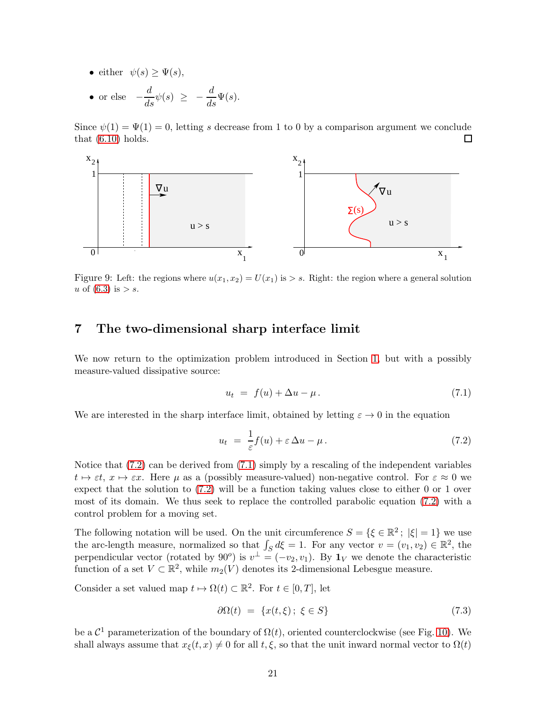- either  $\psi(s) \geq \Psi(s)$ ,
- or else  $-\frac{d}{ds}\psi(s) \ge -\frac{d}{ds}\Psi(s)$ .

Since  $\psi(1) = \Psi(1) = 0$ , letting s decrease from 1 to 0 by a comparison argument we conclude that  $(6.10)$  holds.  $\Box$ 



Figure 9: Left: the regions where  $u(x_1, x_2) = U(x_1)$  is  $> s$ . Right: the region where a general solution u of  $(6.3)$  is  $> s$ .

### <span id="page-20-1"></span>7 The two-dimensional sharp interface limit

We now return to the optimization problem introduced in Section [1,](#page-0-1) but with a possibly measure-valued dissipative source:

<span id="page-20-2"></span>
$$
u_t = f(u) + \Delta u - \mu. \tag{7.1}
$$

We are interested in the sharp interface limit, obtained by letting  $\varepsilon \to 0$  in the equation

<span id="page-20-0"></span>
$$
u_t = \frac{1}{\varepsilon} f(u) + \varepsilon \Delta u - \mu. \tag{7.2}
$$

Notice that [\(7.2\)](#page-20-0) can be derived from [\(7.1\)](#page-20-2) simply by a rescaling of the independent variables  $t \mapsto \varepsilon t$ ,  $x \mapsto \varepsilon x$ . Here  $\mu$  as a (possibly measure-valued) non-negative control. For  $\varepsilon \approx 0$  we expect that the solution to [\(7.2\)](#page-20-0) will be a function taking values close to either 0 or 1 over most of its domain. We thus seek to replace the controlled parabolic equation [\(7.2\)](#page-20-0) with a control problem for a moving set.

The following notation will be used. On the unit circumference  $S = \{ \xi \in \mathbb{R}^2 : |\xi| = 1 \}$  we use the arc-length measure, normalized so that  $\int_S d\xi = 1$ . For any vector  $v = (v_1, v_2) \in \mathbb{R}^2$ , the perpendicular vector (rotated by 90<sup>o</sup>) is  $v^{\perp} = (-v_2, v_1)$ . By  $\mathbf{1}_V$  we denote the characteristic function of a set  $V \subset \mathbb{R}^2$ , while  $m_2(V)$  denotes its 2-dimensional Lebesgue measure.

Consider a set valued map  $t \mapsto \Omega(t) \subset \mathbb{R}^2$ . For  $t \in [0, T]$ , let

<span id="page-20-3"></span>
$$
\partial \Omega(t) = \{x(t,\xi); \ \xi \in S\} \tag{7.3}
$$

be a  $\mathcal{C}^1$  parameterization of the boundary of  $\Omega(t)$ , oriented counterclockwise (see Fig. [10\)](#page-21-2). We shall always assume that  $x_{\xi}(t, x) \neq 0$  for all  $t, \xi$ , so that the unit inward normal vector to  $\Omega(t)$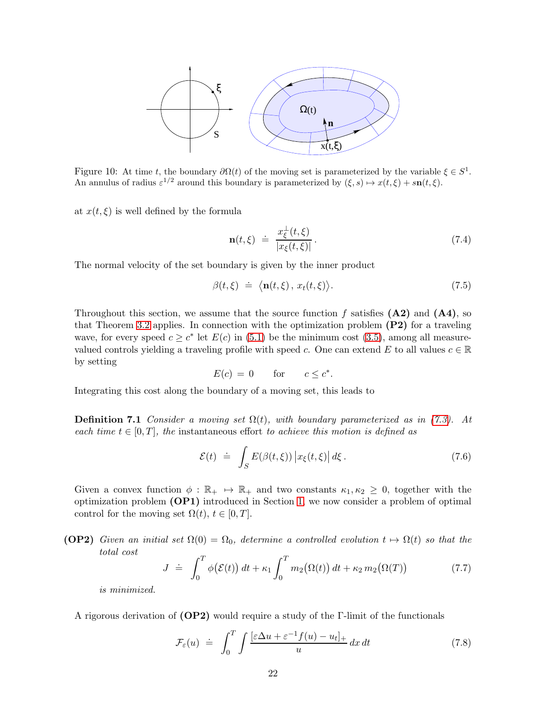

<span id="page-21-2"></span>Figure 10: At time t, the boundary  $\partial \Omega(t)$  of the moving set is parameterized by the variable  $\xi \in S^1$ . An annulus of radius  $\varepsilon^{1/2}$  around this boundary is parameterized by  $(\xi, s) \mapsto x(t, \xi) + s\mathbf{n}(t, \xi)$ .

at  $x(t, \xi)$  is well defined by the formula

$$
\mathbf{n}(t,\xi) \ \doteq \ \frac{x_{\xi}^{\perp}(t,\xi)}{|x_{\xi}(t,\xi)|} \,. \tag{7.4}
$$

The normal velocity of the set boundary is given by the inner product

<span id="page-21-3"></span>
$$
\beta(t,\xi) \doteq \langle \mathbf{n}(t,\xi), \, x_t(t,\xi) \rangle. \tag{7.5}
$$

Throughout this section, we assume that the source function f satisfies  $(A2)$  and  $(A4)$ , so that Theorem [3.2](#page-10-4) applies. In connection with the optimization problem (P2) for a traveling wave, for every speed  $c \geq c^*$  let  $E(c)$  in [\(5.1\)](#page-14-3) be the minimum cost [\(3.5\)](#page-5-4), among all measurevalued controls yielding a traveling profile with speed c. One can extend E to all values  $c \in \mathbb{R}$ by setting

$$
E(c) = 0 \qquad \text{for} \qquad c \le c^*.
$$

Integrating this cost along the boundary of a moving set, this leads to

**Definition 7.1** Consider a moving set  $\Omega(t)$ , with boundary parameterized as in [\(7.3\)](#page-20-3). At each time  $t \in [0, T]$ , the instantaneous effort to achieve this motion is defined as

$$
\mathcal{E}(t) \doteq \int_{S} E(\beta(t,\xi)) \left| x_{\xi}(t,\xi) \right| d\xi. \tag{7.6}
$$

Given a convex function  $\phi : \mathbb{R}_+ \to \mathbb{R}_+$  and two constants  $\kappa_1, \kappa_2 \geq 0$ , together with the optimization problem (OP1) introduced in Section [1,](#page-0-1) we now consider a problem of optimal control for the moving set  $\Omega(t)$ ,  $t \in [0, T]$ .

**(OP2)** Given an initial set  $\Omega(0) = \Omega_0$ , determine a controlled evolution  $t \mapsto \Omega(t)$  so that the total cost

<span id="page-21-0"></span>
$$
J \doteq \int_0^T \phi(\mathcal{E}(t)) dt + \kappa_1 \int_0^T m_2(\Omega(t)) dt + \kappa_2 m_2(\Omega(T)) \tag{7.7}
$$

is minimized.

A rigorous derivation of  $(\text{OP2})$  would require a study of the Γ-limit of the functionals

<span id="page-21-1"></span>
$$
\mathcal{F}_{\varepsilon}(u) \doteq \int_0^T \int \frac{[\varepsilon \Delta u + \varepsilon^{-1} f(u) - u_t]_+}{u} dx dt \tag{7.8}
$$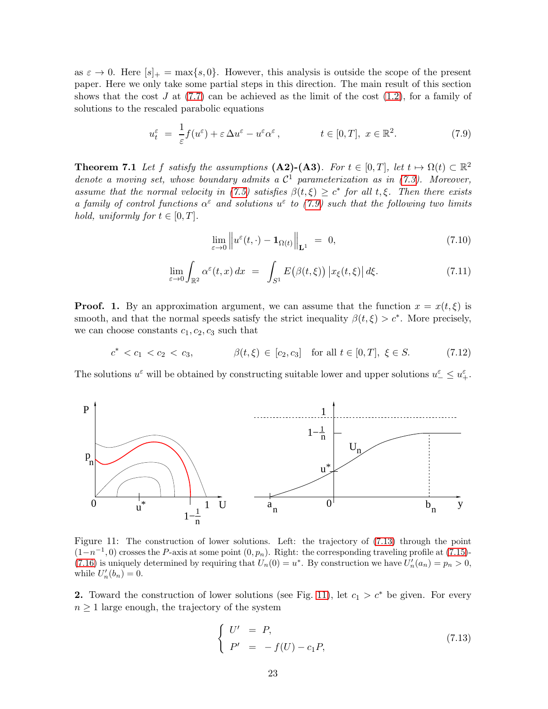as  $\varepsilon \to 0$ . Here  $[s]_+ = \max\{s, 0\}$ . However, this analysis is outside the scope of the present paper. Here we only take some partial steps in this direction. The main result of this section shows that the cost J at  $(7.7)$  can be achieved as the limit of the cost  $(1.2)$ , for a family of solutions to the rescaled parabolic equations

<span id="page-22-0"></span>
$$
u_t^{\varepsilon} = \frac{1}{\varepsilon} f(u^{\varepsilon}) + \varepsilon \Delta u^{\varepsilon} - u^{\varepsilon} \alpha^{\varepsilon}, \qquad t \in [0, T], \ x \in \mathbb{R}^2. \tag{7.9}
$$

**Theorem 7.1** Let f satisfy the assumptions  $(A2)-(A3)$ . For  $t \in [0,T]$ , let  $t \mapsto \Omega(t) \subset \mathbb{R}^2$ denote a moving set, whose boundary admits a  $C^1$  parameterization as in [\(7.3\)](#page-20-3). Moreover, assume that the normal velocity in [\(7.5\)](#page-21-3) satisfies  $\beta(t,\xi) \geq c^*$  for all t, $\xi$ . Then there exists a family of control functions  $\alpha^{\epsilon}$  and solutions  $u^{\epsilon}$  to [\(7.9\)](#page-22-0) such that the following two limits hold, uniformly for  $t \in [0, T]$ .

$$
\lim_{\varepsilon \to 0} \left\| u^{\varepsilon}(t, \cdot) - \mathbf{1}_{\Omega(t)} \right\|_{\mathbf{L}^{1}} = 0, \tag{7.10}
$$

<span id="page-22-4"></span>
$$
\lim_{\varepsilon \to 0} \int_{\mathbb{R}^2} \alpha^{\varepsilon}(t, x) dx = \int_{S^1} E(\beta(t, \xi)) |x_{\xi}(t, \xi)| d\xi.
$$
 (7.11)

**Proof.** 1. By an approximation argument, we can assume that the function  $x = x(t, \xi)$  is smooth, and that the normal speeds satisfy the strict inequality  $\beta(t,\xi) > c^*$ . More precisely, we can choose constants  $c_1, c_2, c_3$  such that

<span id="page-22-3"></span>
$$
c^* < c_1 < c_2 < c_3, \qquad \beta(t, \xi) \in [c_2, c_3] \quad \text{for all } t \in [0, T], \ \xi \in S. \tag{7.12}
$$

The solutions  $u^{\varepsilon}$  will be obtained by constructing suitable lower and upper solutions  $u^{\varepsilon} \leq u^{\varepsilon}_+$ .



<span id="page-22-2"></span>Figure 11: The construction of lower solutions. Left: the trajectory of [\(7.13\)](#page-22-1) through the point  $(1-n^{-1},0)$  crosses the P-axis at some point  $(0,p_n)$ . Right: the corresponding traveling profile at [\(7.15\)](#page-23-0)-[\(7.16\)](#page-23-1) is uniquely determined by requiring that  $U_n(0) = u^*$ . By construction we have  $U'_n(a_n) = p_n > 0$ , while  $U'_n(b_n)=0$ .

2. Toward the construction of lower solutions (see Fig. [11\)](#page-22-2), let  $c_1 > c^*$  be given. For every  $n \geq 1$  large enough, the trajectory of the system

<span id="page-22-1"></span>
$$
\begin{cases}\nU' &= P, \\
P' &= -f(U) - c_1 P,\n\end{cases}
$$
\n(7.13)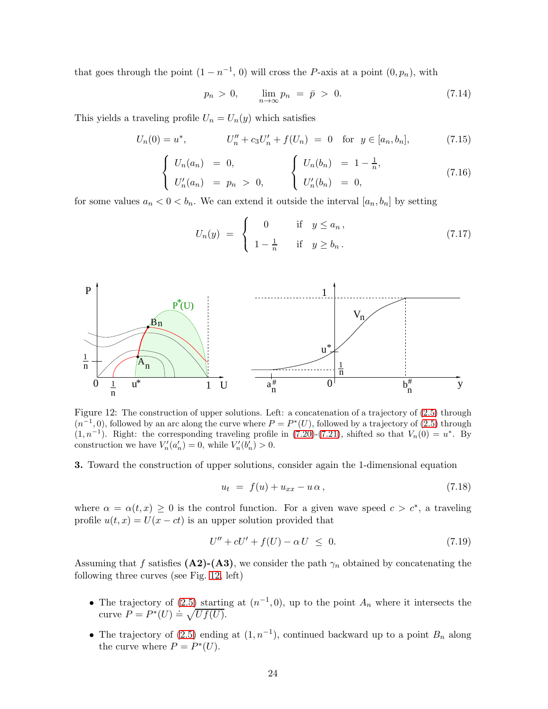that goes through the point  $(1 - n^{-1}, 0)$  will cross the P-axis at a point  $(0, p_n)$ , with

$$
p_n > 0, \qquad \lim_{n \to \infty} p_n = \bar{p} > 0. \tag{7.14}
$$

This yields a traveling profile  $U_n = U_n(y)$  which satisfies

<span id="page-23-0"></span>
$$
U_n(0) = u^*, \qquad U''_n + c_3 U'_n + f(U_n) = 0 \quad \text{for} \quad y \in [a_n, b_n], \tag{7.15}
$$

<span id="page-23-1"></span>
$$
\begin{cases}\nU_n(a_n) = 0, \\
U'_n(a_n) = p_n > 0,\n\end{cases}\n\qquad\n\begin{cases}\nU_n(b_n) = 1 - \frac{1}{n}, \\
U'_n(b_n) = 0,\n\end{cases}\n(7.16)
$$

for some values  $a_n < 0 < b_n$ . We can extend it outside the interval  $[a_n, b_n]$  by setting

$$
U_n(y) = \begin{cases} 0 & \text{if } y \le a_n, \\ 1 - \frac{1}{n} & \text{if } y \ge b_n. \end{cases}
$$
 (7.17)



<span id="page-23-2"></span>Figure 12: The construction of upper solutions. Left: a concatenation of a trajectory of [\(2.5\)](#page-3-3) through  $(n^{-1},0)$ , followed by an arc along the curve where  $P = P^*(U)$ , followed by a trajectory of  $(2.5)$  through  $(1, n^{-1})$ . Right: the corresponding traveling profile in  $(7.20)$ - $(7.21)$ , shifted so that  $V_n(0) = u^*$ . By construction we have  $V'_n(a'_n) = 0$ , while  $V'_n(b'_n) > 0$ .

3. Toward the construction of upper solutions, consider again the 1-dimensional equation

<span id="page-23-3"></span>
$$
u_t = f(u) + u_{xx} - u \alpha, \tag{7.18}
$$

where  $\alpha = \alpha(t, x) \geq 0$  is the control function. For a given wave speed  $c > c^*$ , a traveling profile  $u(t, x) = U(x - ct)$  is an upper solution provided that

$$
U'' + cU' + f(U) - \alpha U \leq 0. \tag{7.19}
$$

Assuming that f satisfies  $(A2)-(A3)$ , we consider the path  $\gamma_n$  obtained by concatenating the following three curves (see Fig. [12,](#page-23-2) left)

- The trajectory of [\(2.5\)](#page-3-3) starting at  $(n^{-1},0)$ , up to the point  $A_n$  where it intersects the curve  $P = P^*(U) \doteq \sqrt{Uf(U)}$ .
- The trajectory of [\(2.5\)](#page-3-3) ending at  $(1, n^{-1})$ , continued backward up to a point  $B_n$  along the curve where  $P = P^*(U)$ .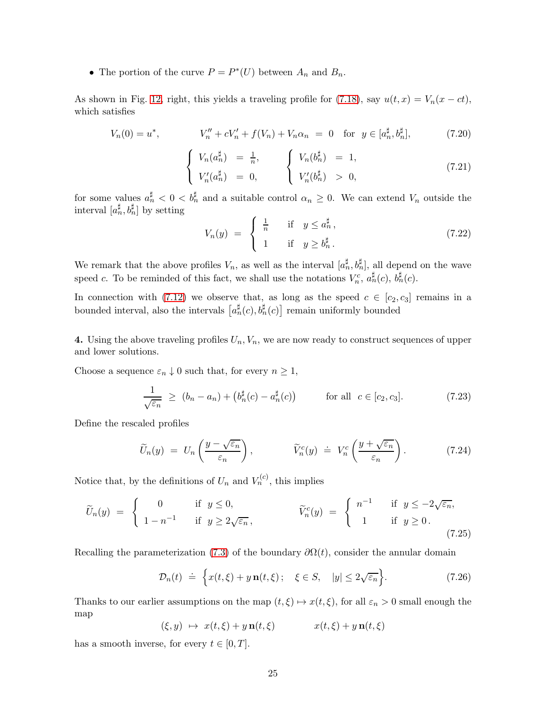• The portion of the curve  $P = P^*(U)$  between  $A_n$  and  $B_n$ .

As shown in Fig. [12,](#page-23-2) right, this yields a traveling profile for [\(7.18\)](#page-23-3), say  $u(t, x) = V_n(x - ct)$ , which satisfies

<span id="page-24-0"></span>
$$
V_n(0) = u^*, \qquad V_n'' + cV_n' + f(V_n) + V_n \alpha_n = 0 \quad \text{for } y \in [a_n^{\sharp}, b_n^{\sharp}], \tag{7.20}
$$

<span id="page-24-1"></span>
$$
\begin{cases}\nV_n(a_n^{\sharp}) = \frac{1}{n}, & \left\{\n\begin{array}{l}\nV_n(b_n^{\sharp}) = 1, \\
V'_n(a_n^{\sharp}) = 0,\n\end{array}\n\right.\n\end{cases}
$$
\n(7.21)

for some values  $a_n^{\sharp} < 0 < b_n^{\sharp}$  and a suitable control  $\alpha_n \geq 0$ . We can extend  $V_n$  outside the interval  $[a_n^{\sharp}, b_n^{\sharp}]$  by setting

$$
V_n(y) = \begin{cases} \frac{1}{n} & \text{if } y \le a_n^{\sharp}, \\ 1 & \text{if } y \ge b_n^{\sharp}. \end{cases} \tag{7.22}
$$

We remark that the above profiles  $V_n$ , as well as the interval  $[a_n^{\sharp}, b_n^{\sharp}]$ , all depend on the wave speed c. To be reminded of this fact, we shall use the notations  $V_n^c$ ,  $a_n^{\sharp}(c)$ ,  $b_n^{\sharp}(c)$ .

In connection with [\(7.12\)](#page-22-3) we observe that, as long as the speed  $c \in [c_2, c_3]$  remains in a bounded interval, also the intervals  $\left[a_n^{\sharp}(c), b_n^{\sharp}(c)\right]$  remain uniformly bounded

4. Using the above traveling profiles  $U_n, V_n$ , we are now ready to construct sequences of upper and lower solutions.

Choose a sequence  $\varepsilon_n \downarrow 0$  such that, for every  $n \geq 1$ ,

$$
\frac{1}{\sqrt{\varepsilon_n}} \ge (b_n - a_n) + \left(b_n^{\sharp}(c) - a_n^{\sharp}(c)\right) \qquad \text{for all } c \in [c_2, c_3]. \tag{7.23}
$$

Define the rescaled profiles

$$
\widetilde{U}_n(y) = U_n\left(\frac{y - \sqrt{\varepsilon_n}}{\varepsilon_n}\right), \qquad \widetilde{V}_n^c(y) \doteq V_n^c\left(\frac{y + \sqrt{\varepsilon_n}}{\varepsilon_n}\right). \tag{7.24}
$$

Notice that, by the definitions of  $U_n$  and  $V_n^{(c)}$ , this implies

<span id="page-24-2"></span>
$$
\widetilde{U}_n(y) = \begin{cases}\n0 & \text{if } y \le 0, \\
1 - n^{-1} & \text{if } y \ge 2\sqrt{\varepsilon_n},\n\end{cases}\n\qquad\n\widetilde{V}_n^c(y) = \begin{cases}\n n^{-1} & \text{if } y \le -2\sqrt{\varepsilon_n}, \\
 1 & \text{if } y \ge 0.\n\end{cases}
$$
\n(7.25)

Recalling the parameterization [\(7.3\)](#page-20-3) of the boundary  $\partial \Omega(t)$ , consider the annular domain

$$
\mathcal{D}_n(t) \doteq \left\{ x(t,\xi) + y \, \mathbf{n}(t,\xi) \, ; \quad \xi \in S, \quad |y| \le 2\sqrt{\varepsilon_n} \right\}. \tag{7.26}
$$

Thanks to our earlier assumptions on the map  $(t, \xi) \mapsto x(t, \xi)$ , for all  $\varepsilon_n > 0$  small enough the map

$$
(\xi, y) \mapsto x(t, \xi) + y \mathbf{n}(t, \xi) \qquad x(t, \xi) + y \mathbf{n}(t, \xi)
$$

has a smooth inverse, for every  $t \in [0, T]$ .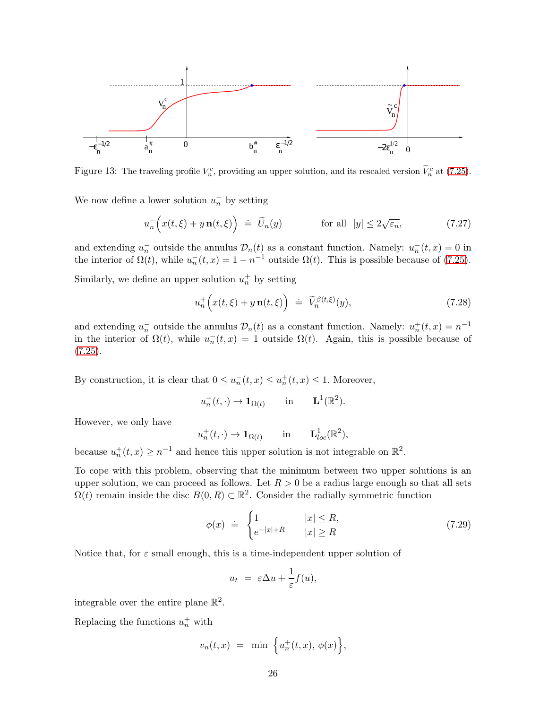

Figure 13: The traveling profile  $V_n^c$ , providing an upper solution, and its rescaled version  $\tilde{V}_n^c$  at [\(7.25\)](#page-24-2).

We now define a lower solution  $u_n^-$  by setting

$$
u_n^{-}\Big(x(t,\xi)+y\,\mathbf{n}(t,\xi)\Big) \doteq \widetilde{U}_n(y) \qquad \text{for all } |y| \le 2\sqrt{\varepsilon_n},\tag{7.27}
$$

and extending  $u_n^-$  outside the annulus  $\mathcal{D}_n(t)$  as a constant function. Namely:  $u_n^-(t,x) = 0$  in the interior of  $\Omega(t)$ , while  $u_n(t, x) = 1 - n^{-1}$  outside  $\Omega(t)$ . This is possible because of [\(7.25\)](#page-24-2).

Similarly, we define an upper solution  $u_n^+$  by setting

$$
u_n^+\Big(x(t,\xi)+y\,\mathbf{n}(t,\xi)\Big) \doteq \widetilde{V}_n^{\beta(t,\xi)}(y),\tag{7.28}
$$

and extending  $u_n^-$  outside the annulus  $\mathcal{D}_n(t)$  as a constant function. Namely:  $u_n^+(t,x) = n^{-1}$ in the interior of  $\Omega(t)$ , while  $u_n(t,x) = 1$  outside  $\Omega(t)$ . Again, this is possible because of  $(7.25).$  $(7.25).$ 

By construction, it is clear that  $0 \le u_n^-(t,x) \le u_n^+(t,x) \le 1$ . Moreover,

$$
u_n^-(t,\cdot) \to \mathbf{1}_{\Omega(t)}
$$
 in  $\mathbf{L}^1(\mathbb{R}^2)$ .

However, we only have

$$
u_n^+(t,\cdot) \to \mathbf{1}_{\Omega(t)} \quad \text{in} \quad \mathbf{L}_{loc}^1(\mathbb{R}^2),
$$

because  $u_n^+(t,x) \ge n^{-1}$  and hence this upper solution is not integrable on  $\mathbb{R}^2$ .

To cope with this problem, observing that the minimum between two upper solutions is an upper solution, we can proceed as follows. Let  $R > 0$  be a radius large enough so that all sets  $\Omega(t)$  remain inside the disc  $B(0, R) \subset \mathbb{R}^2$ . Consider the radially symmetric function

$$
\phi(x) \doteq \begin{cases} 1 & |x| \le R, \\ e^{-|x|+R} & |x| \ge R \end{cases} \tag{7.29}
$$

Notice that, for  $\varepsilon$  small enough, this is a time-independent upper solution of

$$
u_t = \varepsilon \Delta u + \frac{1}{\varepsilon} f(u),
$$

integrable over the entire plane  $\mathbb{R}^2$ .

Replacing the functions  $u_n^+$  with

$$
v_n(t,x) = \min \left\{ u_n^+(t,x), \phi(x) \right\},\
$$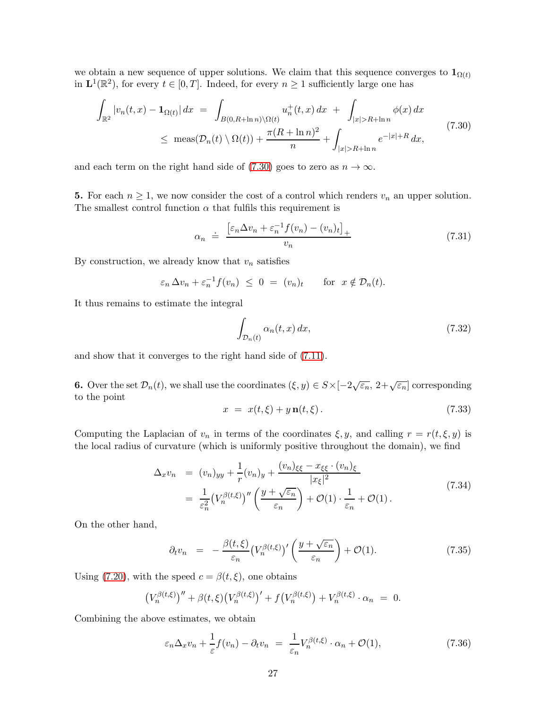we obtain a new sequence of upper solutions. We claim that this sequence converges to  $\mathbf{1}_{\Omega(t)}$ in  $\mathbf{L}^1(\mathbb{R}^2)$ , for every  $t \in [0, T]$ . Indeed, for every  $n \geq 1$  sufficiently large one has

<span id="page-26-0"></span>
$$
\int_{\mathbb{R}^2} |v_n(t,x) - \mathbf{1}_{\Omega(t)}| dx = \int_{B(0,R+\ln n)\backslash\Omega(t)} u_n^+(t,x) dx + \int_{|x|>R+\ln n} \phi(x) dx
$$
\n
$$
\leq \operatorname{meas}(\mathcal{D}_n(t)\backslash\Omega(t)) + \frac{\pi (R+\ln n)^2}{n} + \int_{|x|>R+\ln n} e^{-|x|+R} dx,
$$
\n(7.30)

and each term on the right hand side of [\(7.30\)](#page-26-0) goes to zero as  $n \to \infty$ .

5. For each  $n \geq 1$ , we now consider the cost of a control which renders  $v_n$  an upper solution. The smallest control function  $\alpha$  that fulfils this requirement is

$$
\alpha_n \doteq \frac{\left[\varepsilon_n \Delta v_n + \varepsilon_n^{-1} f(v_n) - (v_n)_t\right]_+}{v_n} \tag{7.31}
$$

By construction, we already know that  $v_n$  satisfies

$$
\varepsilon_n \Delta v_n + \varepsilon_n^{-1} f(v_n) \leq 0 = (v_n)_t
$$
 for  $x \notin \mathcal{D}_n(t)$ .

It thus remains to estimate the integral

$$
\int_{\mathcal{D}_n(t)} \alpha_n(t, x) \, dx,\tag{7.32}
$$

and show that it converges to the right hand side of [\(7.11\)](#page-22-4).

**6.** Over the set  $\mathcal{D}_n(t)$ , we shall use the coordinates  $(\xi, y) \in S \times [-2\sqrt{\varepsilon_n}, 2+\sqrt{\varepsilon_n}]$  corresponding to the point

<span id="page-26-2"></span>
$$
x = x(t,\xi) + y \mathbf{n}(t,\xi). \tag{7.33}
$$

Computing the Laplacian of  $v_n$  in terms of the coordinates  $\xi, y$ , and calling  $r = r(t, \xi, y)$  is the local radius of curvature (which is uniformly positive throughout the domain), we find

$$
\Delta_x v_n = (v_n)_{yy} + \frac{1}{r}(v_n)_y + \frac{(v_n)_{\xi\xi} - x_{\xi\xi} \cdot (v_n)_{\xi}}{|x_{\xi}|^2}
$$
  
= 
$$
\frac{1}{\varepsilon_n^2} (V_n^{\beta(t,\xi)})'' \left( \frac{y + \sqrt{\varepsilon_n}}{\varepsilon_n} \right) + \mathcal{O}(1) \cdot \frac{1}{\varepsilon_n} + \mathcal{O}(1).
$$
 (7.34)

On the other hand,

$$
\partial_t v_n = -\frac{\beta(t,\xi)}{\varepsilon_n} \left( V_n^{\beta(t,\xi)} \right)' \left( \frac{y + \sqrt{\varepsilon_n}}{\varepsilon_n} \right) + \mathcal{O}(1). \tag{7.35}
$$

Using [\(7.20\)](#page-24-0), with the speed  $c = \beta(t, \xi)$ , one obtains

$$
(V_n^{\beta(t,\xi)})'' + \beta(t,\xi) (V_n^{\beta(t,\xi)})' + f(V_n^{\beta(t,\xi)}) + V_n^{\beta(t,\xi)} \cdot \alpha_n = 0.
$$

Combining the above estimates, we obtain

<span id="page-26-1"></span>
$$
\varepsilon_n \Delta_x v_n + \frac{1}{\varepsilon} f(v_n) - \partial_t v_n = \frac{1}{\varepsilon_n} V_n^{\beta(t,\xi)} \cdot \alpha_n + \mathcal{O}(1), \tag{7.36}
$$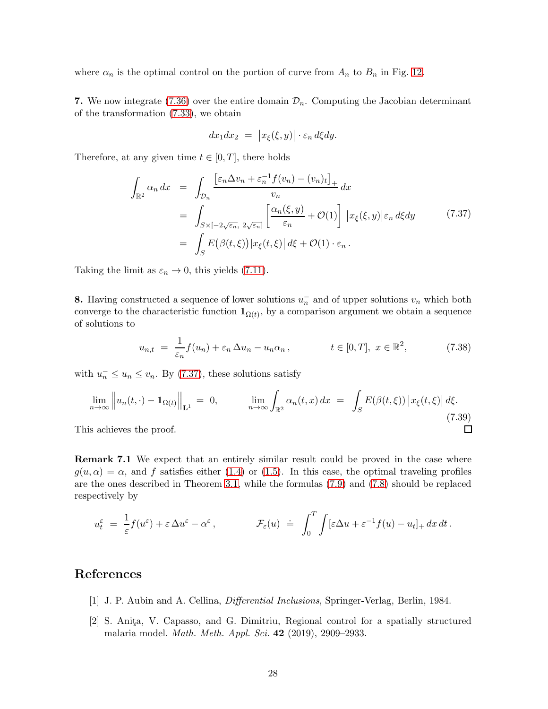where  $\alpha_n$  is the optimal control on the portion of curve from  $A_n$  to  $B_n$  in Fig. [12.](#page-23-2)

7. We now integrate [\(7.36\)](#page-26-1) over the entire domain  $\mathcal{D}_n$ . Computing the Jacobian determinant of the transformation [\(7.33\)](#page-26-2), we obtain

$$
dx_1 dx_2 = |x_{\xi}(\xi, y)| \cdot \varepsilon_n d\xi dy.
$$

Therefore, at any given time  $t \in [0, T]$ , there holds

<span id="page-27-2"></span>
$$
\int_{\mathbb{R}^2} \alpha_n \, dx = \int_{\mathcal{D}_n} \frac{\left[\varepsilon_n \Delta v_n + \varepsilon_n^{-1} f(v_n) - (v_n)_t\right]_+}{v_n} \, dx
$$
\n
$$
= \int_{S \times [-2\sqrt{\varepsilon_n}, 2\sqrt{\varepsilon_n}]} \left[\frac{\alpha_n(\xi, y)}{\varepsilon_n} + \mathcal{O}(1)\right] |x_{\xi}(\xi, y)| \varepsilon_n \, d\xi \, dy \tag{7.37}
$$
\n
$$
= \int_S E\big(\beta(t, \xi)\big) |x_{\xi}(t, \xi)| \, d\xi + \mathcal{O}(1) \cdot \varepsilon_n \, .
$$

Taking the limit as  $\varepsilon_n \to 0$ , this yields [\(7.11\)](#page-22-4).

**8.** Having constructed a sequence of lower solutions  $u_n^-$  and of upper solutions  $v_n$  which both converge to the characteristic function  $\mathbf{1}_{\Omega(t)}$ , by a comparison argument we obtain a sequence of solutions to

$$
u_{n,t} = \frac{1}{\varepsilon_n} f(u_n) + \varepsilon_n \Delta u_n - u_n \alpha_n, \qquad t \in [0, T], \ x \in \mathbb{R}^2,
$$
 (7.38)

with  $u_n^- \le u_n \le v_n$ . By [\(7.37\)](#page-27-2), these solutions satisfy

$$
\lim_{n \to \infty} \left\| u_n(t, \cdot) - \mathbf{1}_{\Omega(t)} \right\|_{\mathbf{L}^1} = 0, \qquad \lim_{n \to \infty} \int_{\mathbb{R}^2} \alpha_n(t, x) dx = \int_S E(\beta(t, \xi)) \left| x_{\xi}(t, \xi) \right| d\xi. \tag{7.39}
$$
\nis achieves the proof.

This achieves the proof.

Remark 7.1 We expect that an entirely similar result could be proved in the case where  $g(u, \alpha) = \alpha$ , and f satisfies either [\(1.4\)](#page-1-4) or [\(1.5\)](#page-1-5). In this case, the optimal traveling profiles are the ones described in Theorem [3.1,](#page-7-1) while the formulas [\(7.9\)](#page-22-0) and [\(7.8\)](#page-21-1) should be replaced respectively by

$$
u_t^{\varepsilon} = \frac{1}{\varepsilon} f(u^{\varepsilon}) + \varepsilon \Delta u^{\varepsilon} - \alpha^{\varepsilon}, \qquad \qquad \mathcal{F}_{\varepsilon}(u) \doteq \int_0^T \int [\varepsilon \Delta u + \varepsilon^{-1} f(u) - u_t]_+ dx dt.
$$

### <span id="page-27-1"></span>References

- <span id="page-27-0"></span>[1] J. P. Aubin and A. Cellina, Differential Inclusions, Springer-Verlag, Berlin, 1984.
- [2] S. Anita, V. Capasso, and G. Dimitriu, Regional control for a spatially structured malaria model. Math. Meth. Appl. Sci. 42 (2019), 2909–2933.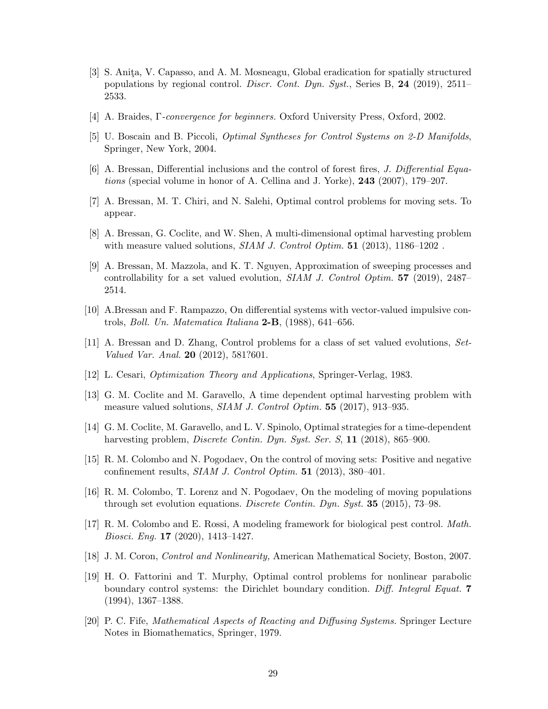- <span id="page-28-4"></span>[3] S. Anita, V. Capasso, and A. M. Mosneagu, Global eradication for spatially structured populations by regional control. *Discr. Cont. Dyn. Syst.*, Series B, 24 (2019), 2511– 2533.
- <span id="page-28-9"></span><span id="page-28-8"></span>[4] A. Braides, Γ-convergence for beginners. Oxford University Press, Oxford, 2002.
- <span id="page-28-11"></span>[5] U. Boscain and B. Piccoli, Optimal Syntheses for Control Systems on 2-D Manifolds, Springer, New York, 2004.
- <span id="page-28-10"></span>[6] A. Bressan, Differential inclusions and the control of forest fires, J. Differential Equations (special volume in honor of A. Cellina and J. Yorke), 243 (2007), 179–207.
- [7] A. Bressan, M. T. Chiri, and N. Salehi, Optimal control problems for moving sets. To appear.
- <span id="page-28-12"></span><span id="page-28-6"></span>[8] A. Bressan, G. Coclite, and W. Shen, A multi-dimensional optimal harvesting problem with measure valued solutions,  $SIAM J.$  Control Optim. **51** (2013), 1186–1202.
- [9] A. Bressan, M. Mazzola, and K. T. Nguyen, Approximation of sweeping processes and controllability for a set valued evolution, SIAM J. Control Optim. 57 (2019), 2487– 2514.
- <span id="page-28-16"></span><span id="page-28-13"></span>[10] A.Bressan and F. Rampazzo, On differential systems with vector-valued impulsive controls, *Boll. Un. Matematica Italiana* **2-B**,  $(1988)$ ,  $641-656$ .
- [11] A. Bressan and D. Zhang, Control problems for a class of set valued evolutions, Set-Valued Var. Anal. **20** (2012), 581?601.
- <span id="page-28-2"></span>[12] L. Cesari, Optimization Theory and Applications, Springer-Verlag, 1983.
- <span id="page-28-3"></span>[13] G. M. Coclite and M. Garavello, A time dependent optimal harvesting problem with measure valued solutions, *SIAM J. Control Optim.* **55** (2017), 913–935.
- <span id="page-28-14"></span>[14] G. M. Coclite, M. Garavello, and L. V. Spinolo, Optimal strategies for a time-dependent harvesting problem, *Discrete Contin. Dyn. Syst. Ser. S*, **11** (2018), 865–900.
- [15] R. M. Colombo and N. Pogodaev, On the control of moving sets: Positive and negative confinement results, SIAM J. Control Optim. 51 (2013), 380–401.
- <span id="page-28-15"></span>[16] R. M. Colombo, T. Lorenz and N. Pogodaev, On the modeling of moving populations through set evolution equations. Discrete Contin. Dyn. Syst. 35 (2015), 73–98.
- <span id="page-28-5"></span>[17] R. M. Colombo and E. Rossi, A modeling framework for biological pest control. Math. Biosci. Eng. 17 (2020), 1413–1427.
- <span id="page-28-1"></span><span id="page-28-0"></span>[18] J. M. Coron, Control and Nonlinearity, American Mathematical Society, Boston, 2007.
- [19] H. O. Fattorini and T. Murphy, Optimal control problems for nonlinear parabolic boundary control systems: the Dirichlet boundary condition. Diff. Integral Equat. 7 (1994), 1367–1388.
- <span id="page-28-7"></span>[20] P. C. Fife, Mathematical Aspects of Reacting and Diffusing Systems. Springer Lecture Notes in Biomathematics, Springer, 1979.